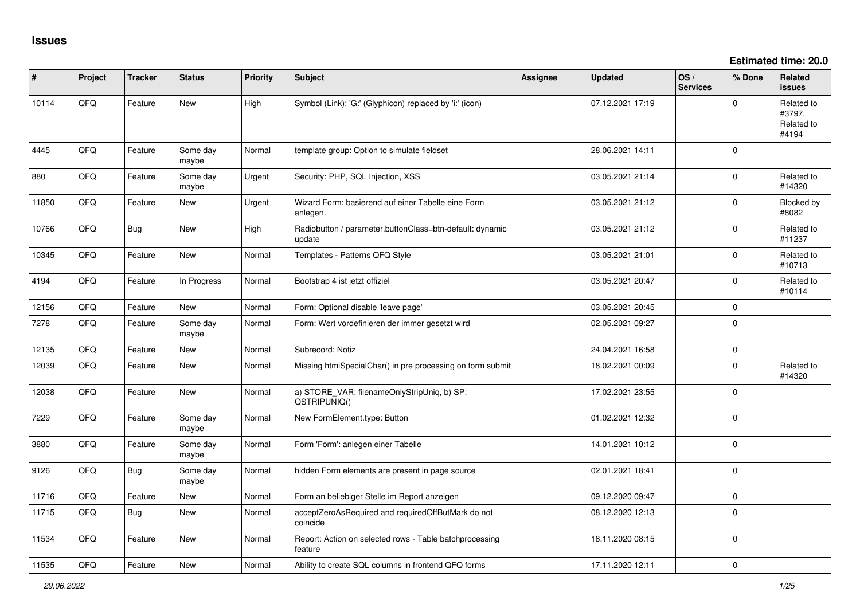**Estimated time: 20.0**

| ∦     | Project | <b>Tracker</b> | <b>Status</b>     | <b>Priority</b> | <b>Subject</b>                                                     | <b>Assignee</b> | <b>Updated</b>   | OS/<br><b>Services</b> | % Done      | Related<br><b>issues</b>                    |
|-------|---------|----------------|-------------------|-----------------|--------------------------------------------------------------------|-----------------|------------------|------------------------|-------------|---------------------------------------------|
| 10114 | QFQ     | Feature        | <b>New</b>        | High            | Symbol (Link): 'G:' (Glyphicon) replaced by 'i:' (icon)            |                 | 07.12.2021 17:19 |                        | $\Omega$    | Related to<br>#3797,<br>Related to<br>#4194 |
| 4445  | QFQ     | Feature        | Some day<br>maybe | Normal          | template group: Option to simulate fieldset                        |                 | 28.06.2021 14:11 |                        | $\mathbf 0$ |                                             |
| 880   | QFQ     | Feature        | Some day<br>maybe | Urgent          | Security: PHP, SQL Injection, XSS                                  |                 | 03.05.2021 21:14 |                        | $\Omega$    | Related to<br>#14320                        |
| 11850 | QFQ     | Feature        | <b>New</b>        | Urgent          | Wizard Form: basierend auf einer Tabelle eine Form<br>anlegen.     |                 | 03.05.2021 21:12 |                        | $\Omega$    | Blocked by<br>#8082                         |
| 10766 | QFQ     | Bug            | <b>New</b>        | High            | Radiobutton / parameter.buttonClass=btn-default: dynamic<br>update |                 | 03.05.2021 21:12 |                        | $\Omega$    | Related to<br>#11237                        |
| 10345 | QFQ     | Feature        | <b>New</b>        | Normal          | Templates - Patterns QFQ Style                                     |                 | 03.05.2021 21:01 |                        | $\mathbf 0$ | Related to<br>#10713                        |
| 4194  | QFQ     | Feature        | In Progress       | Normal          | Bootstrap 4 ist jetzt offiziel                                     |                 | 03.05.2021 20:47 |                        | $\Omega$    | Related to<br>#10114                        |
| 12156 | QFQ     | Feature        | <b>New</b>        | Normal          | Form: Optional disable 'leave page'                                |                 | 03.05.2021 20:45 |                        | $\mathbf 0$ |                                             |
| 7278  | QFQ     | Feature        | Some day<br>maybe | Normal          | Form: Wert vordefinieren der immer gesetzt wird                    |                 | 02.05.2021 09:27 |                        | $\mathbf 0$ |                                             |
| 12135 | QFQ     | Feature        | <b>New</b>        | Normal          | Subrecord: Notiz                                                   |                 | 24.04.2021 16:58 |                        | $\Omega$    |                                             |
| 12039 | QFQ     | Feature        | <b>New</b>        | Normal          | Missing htmlSpecialChar() in pre processing on form submit         |                 | 18.02.2021 00:09 |                        | $\Omega$    | Related to<br>#14320                        |
| 12038 | QFQ     | Feature        | <b>New</b>        | Normal          | a) STORE_VAR: filenameOnlyStripUniq, b) SP:<br>QSTRIPUNIQ()        |                 | 17.02.2021 23:55 |                        | $\mathbf 0$ |                                             |
| 7229  | QFQ     | Feature        | Some day<br>maybe | Normal          | New FormElement.type: Button                                       |                 | 01.02.2021 12:32 |                        | $\Omega$    |                                             |
| 3880  | QFQ     | Feature        | Some day<br>maybe | Normal          | Form 'Form': anlegen einer Tabelle                                 |                 | 14.01.2021 10:12 |                        | $\Omega$    |                                             |
| 9126  | QFQ     | Bug            | Some day<br>maybe | Normal          | hidden Form elements are present in page source                    |                 | 02.01.2021 18:41 |                        | $\mathbf 0$ |                                             |
| 11716 | QFQ     | Feature        | <b>New</b>        | Normal          | Form an beliebiger Stelle im Report anzeigen                       |                 | 09.12.2020 09:47 |                        | $\mathbf 0$ |                                             |
| 11715 | QFG     | Bug            | <b>New</b>        | Normal          | acceptZeroAsRequired and requiredOffButMark do not<br>coincide     |                 | 08.12.2020 12:13 |                        | $\Omega$    |                                             |
| 11534 | QFQ     | Feature        | <b>New</b>        | Normal          | Report: Action on selected rows - Table batchprocessing<br>feature |                 | 18.11.2020 08:15 |                        | $\mathbf 0$ |                                             |
| 11535 | QFQ     | Feature        | <b>New</b>        | Normal          | Ability to create SQL columns in frontend QFQ forms                |                 | 17.11.2020 12:11 |                        | 0 I         |                                             |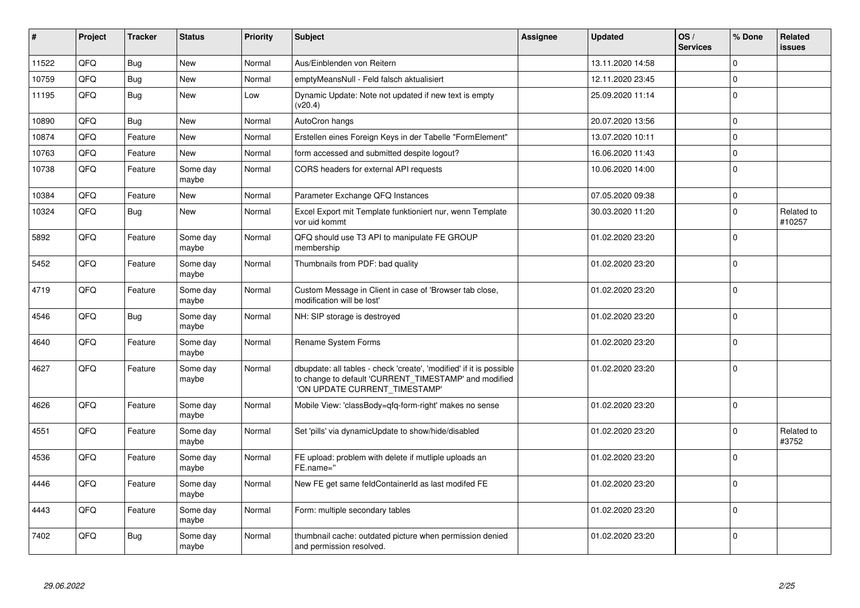| $\pmb{\#}$ | Project | <b>Tracker</b> | <b>Status</b>     | <b>Priority</b> | <b>Subject</b>                                                                                                                                                | Assignee | <b>Updated</b>   | OS/<br><b>Services</b> | % Done      | Related<br>issues    |
|------------|---------|----------------|-------------------|-----------------|---------------------------------------------------------------------------------------------------------------------------------------------------------------|----------|------------------|------------------------|-------------|----------------------|
| 11522      | QFQ     | <b>Bug</b>     | <b>New</b>        | Normal          | Aus/Einblenden von Reitern                                                                                                                                    |          | 13.11.2020 14:58 |                        | $\mathbf 0$ |                      |
| 10759      | QFQ     | Bug            | <b>New</b>        | Normal          | emptyMeansNull - Feld falsch aktualisiert                                                                                                                     |          | 12.11.2020 23:45 |                        | $\Omega$    |                      |
| 11195      | QFQ     | <b>Bug</b>     | <b>New</b>        | Low             | Dynamic Update: Note not updated if new text is empty<br>(v20.4)                                                                                              |          | 25.09.2020 11:14 |                        | $\Omega$    |                      |
| 10890      | QFQ     | <b>Bug</b>     | New               | Normal          | AutoCron hangs                                                                                                                                                |          | 20.07.2020 13:56 |                        | $\Omega$    |                      |
| 10874      | QFQ     | Feature        | New               | Normal          | Erstellen eines Foreign Keys in der Tabelle "FormElement"                                                                                                     |          | 13.07.2020 10:11 |                        | $\mathbf 0$ |                      |
| 10763      | QFQ     | Feature        | <b>New</b>        | Normal          | form accessed and submitted despite logout?                                                                                                                   |          | 16.06.2020 11:43 |                        | $\Omega$    |                      |
| 10738      | QFQ     | Feature        | Some day<br>maybe | Normal          | CORS headers for external API requests                                                                                                                        |          | 10.06.2020 14:00 |                        | $\mathbf 0$ |                      |
| 10384      | QFQ     | Feature        | <b>New</b>        | Normal          | Parameter Exchange QFQ Instances                                                                                                                              |          | 07.05.2020 09:38 |                        | $\mathbf 0$ |                      |
| 10324      | QFQ     | <b>Bug</b>     | <b>New</b>        | Normal          | Excel Export mit Template funktioniert nur, wenn Template<br>vor uid kommt                                                                                    |          | 30.03.2020 11:20 |                        | $\Omega$    | Related to<br>#10257 |
| 5892       | QFQ     | Feature        | Some day<br>maybe | Normal          | QFQ should use T3 API to manipulate FE GROUP<br>membership                                                                                                    |          | 01.02.2020 23:20 |                        | $\mathbf 0$ |                      |
| 5452       | QFQ     | Feature        | Some day<br>maybe | Normal          | Thumbnails from PDF: bad quality                                                                                                                              |          | 01.02.2020 23:20 |                        | $\Omega$    |                      |
| 4719       | QFQ     | Feature        | Some day<br>maybe | Normal          | Custom Message in Client in case of 'Browser tab close,<br>modification will be lost'                                                                         |          | 01.02.2020 23:20 |                        | $\Omega$    |                      |
| 4546       | QFQ     | Bug            | Some day<br>maybe | Normal          | NH: SIP storage is destroyed                                                                                                                                  |          | 01.02.2020 23:20 |                        | $\Omega$    |                      |
| 4640       | QFQ     | Feature        | Some day<br>maybe | Normal          | Rename System Forms                                                                                                                                           |          | 01.02.2020 23:20 |                        | $\Omega$    |                      |
| 4627       | QFQ     | Feature        | Some day<br>maybe | Normal          | dbupdate: all tables - check 'create', 'modified' if it is possible<br>to change to default 'CURRENT_TIMESTAMP' and modified<br>'ON UPDATE CURRENT_TIMESTAMP' |          | 01.02.2020 23:20 |                        | $\Omega$    |                      |
| 4626       | QFQ     | Feature        | Some day<br>maybe | Normal          | Mobile View: 'classBody=qfq-form-right' makes no sense                                                                                                        |          | 01.02.2020 23:20 |                        | $\Omega$    |                      |
| 4551       | QFQ     | Feature        | Some day<br>maybe | Normal          | Set 'pills' via dynamicUpdate to show/hide/disabled                                                                                                           |          | 01.02.2020 23:20 |                        | $\Omega$    | Related to<br>#3752  |
| 4536       | QFQ     | Feature        | Some day<br>maybe | Normal          | FE upload: problem with delete if mutliple uploads an<br>FE.name="                                                                                            |          | 01.02.2020 23:20 |                        | $\Omega$    |                      |
| 4446       | QFQ     | Feature        | Some day<br>maybe | Normal          | New FE get same feldContainerId as last modifed FE                                                                                                            |          | 01.02.2020 23:20 |                        | $\Omega$    |                      |
| 4443       | QFQ     | Feature        | Some day<br>maybe | Normal          | Form: multiple secondary tables                                                                                                                               |          | 01.02.2020 23:20 |                        | $\Omega$    |                      |
| 7402       | QFQ     | <b>Bug</b>     | Some day<br>maybe | Normal          | thumbnail cache: outdated picture when permission denied<br>and permission resolved.                                                                          |          | 01.02.2020 23:20 |                        | $\Omega$    |                      |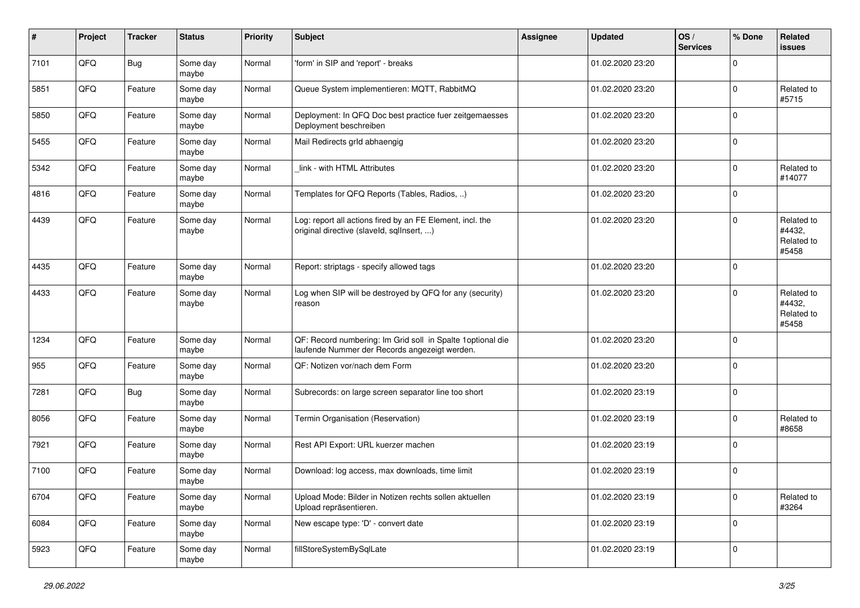| $\sharp$ | Project | <b>Tracker</b> | <b>Status</b>     | <b>Priority</b> | <b>Subject</b>                                                                                               | Assignee | <b>Updated</b>   | OS/<br><b>Services</b> | % Done      | Related<br>issues                           |
|----------|---------|----------------|-------------------|-----------------|--------------------------------------------------------------------------------------------------------------|----------|------------------|------------------------|-------------|---------------------------------------------|
| 7101     | QFQ     | <b>Bug</b>     | Some day<br>maybe | Normal          | 'form' in SIP and 'report' - breaks                                                                          |          | 01.02.2020 23:20 |                        | $\Omega$    |                                             |
| 5851     | QFQ     | Feature        | Some day<br>maybe | Normal          | Queue System implementieren: MQTT, RabbitMQ                                                                  |          | 01.02.2020 23:20 |                        | $\Omega$    | Related to<br>#5715                         |
| 5850     | QFQ     | Feature        | Some day<br>maybe | Normal          | Deployment: In QFQ Doc best practice fuer zeitgemaesses<br>Deployment beschreiben                            |          | 01.02.2020 23:20 |                        | $\Omega$    |                                             |
| 5455     | QFQ     | Feature        | Some day<br>maybe | Normal          | Mail Redirects grld abhaengig                                                                                |          | 01.02.2020 23:20 |                        | $\mathbf 0$ |                                             |
| 5342     | QFQ     | Feature        | Some day<br>maybe | Normal          | link - with HTML Attributes                                                                                  |          | 01.02.2020 23:20 |                        | 0           | Related to<br>#14077                        |
| 4816     | QFQ     | Feature        | Some day<br>maybe | Normal          | Templates for QFQ Reports (Tables, Radios, )                                                                 |          | 01.02.2020 23:20 |                        | $\Omega$    |                                             |
| 4439     | QFQ     | Feature        | Some day<br>maybe | Normal          | Log: report all actions fired by an FE Element, incl. the<br>original directive (slaveld, sqlInsert, )       |          | 01.02.2020 23:20 |                        | $\Omega$    | Related to<br>#4432,<br>Related to<br>#5458 |
| 4435     | QFQ     | Feature        | Some day<br>maybe | Normal          | Report: striptags - specify allowed tags                                                                     |          | 01.02.2020 23:20 |                        | $\Omega$    |                                             |
| 4433     | QFQ     | Feature        | Some day<br>maybe | Normal          | Log when SIP will be destroyed by QFQ for any (security)<br>reason                                           |          | 01.02.2020 23:20 |                        | $\Omega$    | Related to<br>#4432,<br>Related to<br>#5458 |
| 1234     | QFQ     | Feature        | Some day<br>maybe | Normal          | QF: Record numbering: Im Grid soll in Spalte 1 optional die<br>laufende Nummer der Records angezeigt werden. |          | 01.02.2020 23:20 |                        | $\Omega$    |                                             |
| 955      | QFQ     | Feature        | Some day<br>maybe | Normal          | QF: Notizen vor/nach dem Form                                                                                |          | 01.02.2020 23:20 |                        | $\Omega$    |                                             |
| 7281     | QFQ     | <b>Bug</b>     | Some day<br>maybe | Normal          | Subrecords: on large screen separator line too short                                                         |          | 01.02.2020 23:19 |                        | $\mathbf 0$ |                                             |
| 8056     | QFQ     | Feature        | Some day<br>maybe | Normal          | Termin Organisation (Reservation)                                                                            |          | 01.02.2020 23:19 |                        | 0           | Related to<br>#8658                         |
| 7921     | QFQ     | Feature        | Some day<br>maybe | Normal          | Rest API Export: URL kuerzer machen                                                                          |          | 01.02.2020 23:19 |                        | $\mathbf 0$ |                                             |
| 7100     | QFQ     | Feature        | Some day<br>maybe | Normal          | Download: log access, max downloads, time limit                                                              |          | 01.02.2020 23:19 |                        | 0           |                                             |
| 6704     | QFQ     | Feature        | Some day<br>maybe | Normal          | Upload Mode: Bilder in Notizen rechts sollen aktuellen<br>Upload repräsentieren.                             |          | 01.02.2020 23:19 |                        | 0           | Related to<br>#3264                         |
| 6084     | QFQ     | Feature        | Some day<br>maybe | Normal          | New escape type: 'D' - convert date                                                                          |          | 01.02.2020 23:19 |                        | $\mathbf 0$ |                                             |
| 5923     | QFQ     | Feature        | Some day<br>maybe | Normal          | fillStoreSystemBySqlLate                                                                                     |          | 01.02.2020 23:19 |                        | 0           |                                             |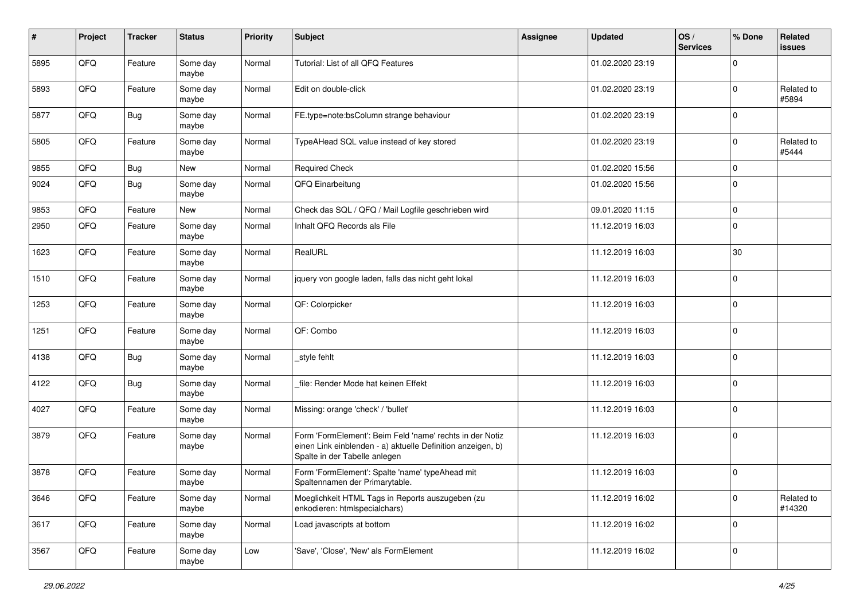| #    | Project | <b>Tracker</b> | <b>Status</b>     | <b>Priority</b> | <b>Subject</b>                                                                                                                                           | Assignee | <b>Updated</b>   | OS/<br><b>Services</b> | % Done      | Related<br>issues    |
|------|---------|----------------|-------------------|-----------------|----------------------------------------------------------------------------------------------------------------------------------------------------------|----------|------------------|------------------------|-------------|----------------------|
| 5895 | QFQ     | Feature        | Some day<br>maybe | Normal          | Tutorial: List of all QFQ Features                                                                                                                       |          | 01.02.2020 23:19 |                        | $\Omega$    |                      |
| 5893 | QFQ     | Feature        | Some day<br>maybe | Normal          | Edit on double-click                                                                                                                                     |          | 01.02.2020 23:19 |                        | $\mathbf 0$ | Related to<br>#5894  |
| 5877 | QFQ     | Bug            | Some day<br>maybe | Normal          | FE.type=note:bsColumn strange behaviour                                                                                                                  |          | 01.02.2020 23:19 |                        | 0           |                      |
| 5805 | QFQ     | Feature        | Some day<br>maybe | Normal          | TypeAHead SQL value instead of key stored                                                                                                                |          | 01.02.2020 23:19 |                        | 0           | Related to<br>#5444  |
| 9855 | QFQ     | <b>Bug</b>     | <b>New</b>        | Normal          | <b>Required Check</b>                                                                                                                                    |          | 01.02.2020 15:56 |                        | $\mathbf 0$ |                      |
| 9024 | QFQ     | <b>Bug</b>     | Some day<br>maybe | Normal          | QFQ Einarbeitung                                                                                                                                         |          | 01.02.2020 15:56 |                        | 0           |                      |
| 9853 | QFQ     | Feature        | <b>New</b>        | Normal          | Check das SQL / QFQ / Mail Logfile geschrieben wird                                                                                                      |          | 09.01.2020 11:15 |                        | $\mathbf 0$ |                      |
| 2950 | QFQ     | Feature        | Some day<br>maybe | Normal          | Inhalt QFQ Records als File                                                                                                                              |          | 11.12.2019 16:03 |                        | $\Omega$    |                      |
| 1623 | QFQ     | Feature        | Some day<br>maybe | Normal          | RealURL                                                                                                                                                  |          | 11.12.2019 16:03 |                        | 30          |                      |
| 1510 | QFQ     | Feature        | Some day<br>maybe | Normal          | jquery von google laden, falls das nicht geht lokal                                                                                                      |          | 11.12.2019 16:03 |                        | $\Omega$    |                      |
| 1253 | QFQ     | Feature        | Some day<br>maybe | Normal          | QF: Colorpicker                                                                                                                                          |          | 11.12.2019 16:03 |                        | $\Omega$    |                      |
| 1251 | QFQ     | Feature        | Some day<br>maybe | Normal          | QF: Combo                                                                                                                                                |          | 11.12.2019 16:03 |                        | 0           |                      |
| 4138 | QFQ     | <b>Bug</b>     | Some day<br>maybe | Normal          | _style fehlt                                                                                                                                             |          | 11.12.2019 16:03 |                        | 0           |                      |
| 4122 | QFQ     | <b>Bug</b>     | Some day<br>maybe | Normal          | file: Render Mode hat keinen Effekt                                                                                                                      |          | 11.12.2019 16:03 |                        | $\mathbf 0$ |                      |
| 4027 | QFQ     | Feature        | Some day<br>maybe | Normal          | Missing: orange 'check' / 'bullet'                                                                                                                       |          | 11.12.2019 16:03 |                        | 0           |                      |
| 3879 | QFQ     | Feature        | Some day<br>maybe | Normal          | Form 'FormElement': Beim Feld 'name' rechts in der Notiz<br>einen Link einblenden - a) aktuelle Definition anzeigen, b)<br>Spalte in der Tabelle anlegen |          | 11.12.2019 16:03 |                        | $\mathbf 0$ |                      |
| 3878 | QFQ     | Feature        | Some day<br>maybe | Normal          | Form 'FormElement': Spalte 'name' typeAhead mit<br>Spaltennamen der Primarytable.                                                                        |          | 11.12.2019 16:03 |                        | $\mathbf 0$ |                      |
| 3646 | QFQ     | Feature        | Some day<br>maybe | Normal          | Moeglichkeit HTML Tags in Reports auszugeben (zu<br>enkodieren: htmlspecialchars)                                                                        |          | 11.12.2019 16:02 |                        | $\mathbf 0$ | Related to<br>#14320 |
| 3617 | QFQ     | Feature        | Some day<br>maybe | Normal          | Load javascripts at bottom                                                                                                                               |          | 11.12.2019 16:02 |                        | $\mathbf 0$ |                      |
| 3567 | QFQ     | Feature        | Some day<br>maybe | Low             | 'Save', 'Close', 'New' als FormElement                                                                                                                   |          | 11.12.2019 16:02 |                        | 0           |                      |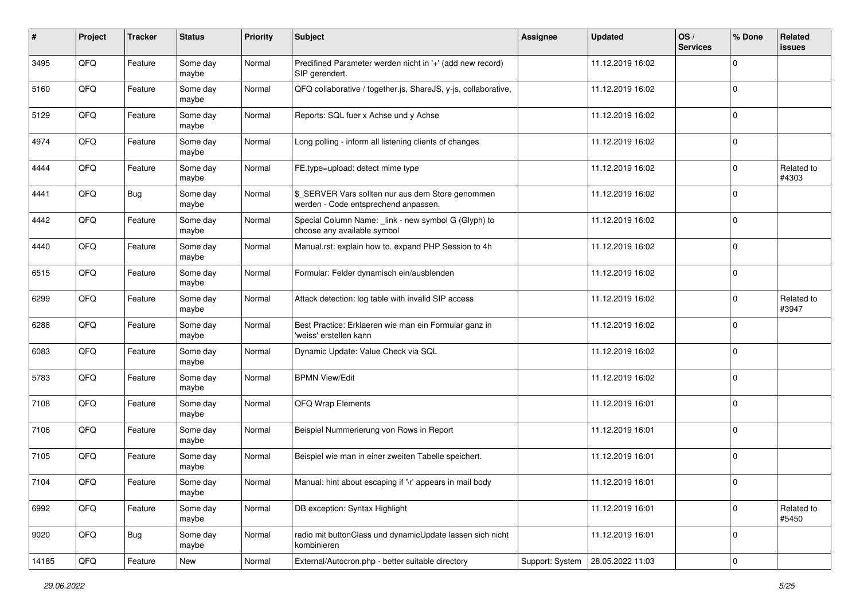| #     | Project | <b>Tracker</b> | <b>Status</b>     | <b>Priority</b> | <b>Subject</b>                                                                            | <b>Assignee</b> | <b>Updated</b>   | OS/<br><b>Services</b> | % Done      | Related<br><b>issues</b> |
|-------|---------|----------------|-------------------|-----------------|-------------------------------------------------------------------------------------------|-----------------|------------------|------------------------|-------------|--------------------------|
| 3495  | QFQ     | Feature        | Some day<br>maybe | Normal          | Predifined Parameter werden nicht in '+' (add new record)<br>SIP gerendert.               |                 | 11.12.2019 16:02 |                        | $\Omega$    |                          |
| 5160  | QFQ     | Feature        | Some day<br>maybe | Normal          | QFQ collaborative / together.js, ShareJS, y-js, collaborative,                            |                 | 11.12.2019 16:02 |                        | 0           |                          |
| 5129  | QFQ     | Feature        | Some day<br>maybe | Normal          | Reports: SQL fuer x Achse und y Achse                                                     |                 | 11.12.2019 16:02 |                        | 0           |                          |
| 4974  | QFQ     | Feature        | Some day<br>maybe | Normal          | Long polling - inform all listening clients of changes                                    |                 | 11.12.2019 16:02 |                        | 0           |                          |
| 4444  | QFQ     | Feature        | Some day<br>maybe | Normal          | FE.type=upload: detect mime type                                                          |                 | 11.12.2019 16:02 |                        | $\Omega$    | Related to<br>#4303      |
| 4441  | QFQ     | <b>Bug</b>     | Some day<br>maybe | Normal          | \$_SERVER Vars sollten nur aus dem Store genommen<br>werden - Code entsprechend anpassen. |                 | 11.12.2019 16:02 |                        | $\Omega$    |                          |
| 4442  | QFQ     | Feature        | Some day<br>maybe | Normal          | Special Column Name: _link - new symbol G (Glyph) to<br>choose any available symbol       |                 | 11.12.2019 16:02 |                        | $\Omega$    |                          |
| 4440  | QFQ     | Feature        | Some day<br>maybe | Normal          | Manual.rst: explain how to. expand PHP Session to 4h                                      |                 | 11.12.2019 16:02 |                        | $\mathbf 0$ |                          |
| 6515  | QFQ     | Feature        | Some day<br>maybe | Normal          | Formular: Felder dynamisch ein/ausblenden                                                 |                 | 11.12.2019 16:02 |                        | $\mathbf 0$ |                          |
| 6299  | QFQ     | Feature        | Some day<br>maybe | Normal          | Attack detection: log table with invalid SIP access                                       |                 | 11.12.2019 16:02 |                        | 0           | Related to<br>#3947      |
| 6288  | QFQ     | Feature        | Some day<br>maybe | Normal          | Best Practice: Erklaeren wie man ein Formular ganz in<br>'weiss' erstellen kann           |                 | 11.12.2019 16:02 |                        | $\Omega$    |                          |
| 6083  | QFQ     | Feature        | Some day<br>maybe | Normal          | Dynamic Update: Value Check via SQL                                                       |                 | 11.12.2019 16:02 |                        | $\Omega$    |                          |
| 5783  | QFQ     | Feature        | Some day<br>maybe | Normal          | <b>BPMN View/Edit</b>                                                                     |                 | 11.12.2019 16:02 |                        | $\Omega$    |                          |
| 7108  | QFQ     | Feature        | Some day<br>maybe | Normal          | QFQ Wrap Elements                                                                         |                 | 11.12.2019 16:01 |                        | $\mathbf 0$ |                          |
| 7106  | QFQ     | Feature        | Some day<br>maybe | Normal          | Beispiel Nummerierung von Rows in Report                                                  |                 | 11.12.2019 16:01 |                        | 0           |                          |
| 7105  | QFQ     | Feature        | Some day<br>maybe | Normal          | Beispiel wie man in einer zweiten Tabelle speichert.                                      |                 | 11.12.2019 16:01 |                        | $\mathbf 0$ |                          |
| 7104  | QFQ     | Feature        | Some day<br>maybe | Normal          | Manual: hint about escaping if '\r' appears in mail body                                  |                 | 11.12.2019 16:01 |                        | $\mathbf 0$ |                          |
| 6992  | QFQ     | Feature        | Some day<br>maybe | Normal          | DB exception: Syntax Highlight                                                            |                 | 11.12.2019 16:01 |                        | $\mathbf 0$ | Related to<br>#5450      |
| 9020  | QFQ     | <b>Bug</b>     | Some day<br>maybe | Normal          | radio mit buttonClass und dynamicUpdate lassen sich nicht<br>kombinieren                  |                 | 11.12.2019 16:01 |                        | $\mathbf 0$ |                          |
| 14185 | QFQ     | Feature        | New               | Normal          | External/Autocron.php - better suitable directory                                         | Support: System | 28.05.2022 11:03 |                        | $\mathbf 0$ |                          |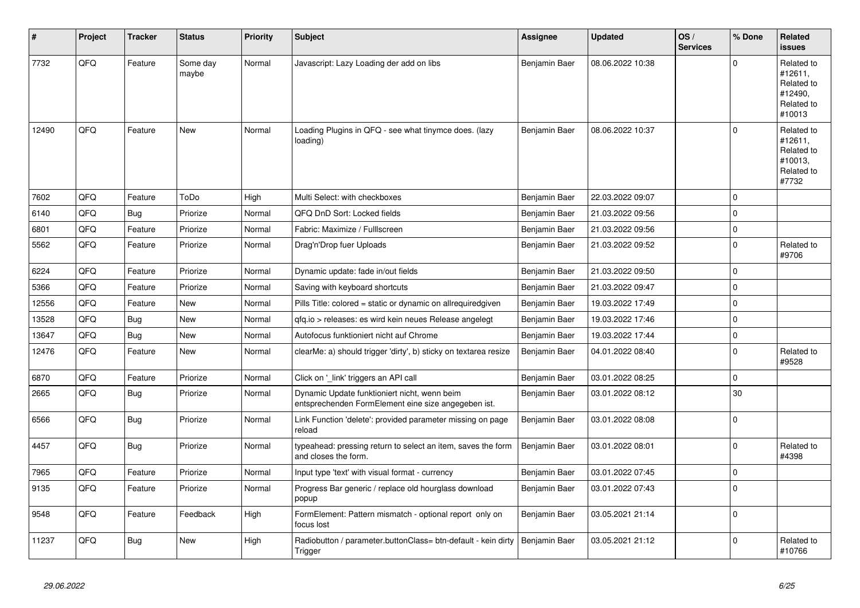| ∦     | Project | <b>Tracker</b> | <b>Status</b>     | <b>Priority</b> | <b>Subject</b>                                                                                      | Assignee      | <b>Updated</b>   | OS/<br><b>Services</b> | % Done      | Related<br><b>issues</b>                                               |
|-------|---------|----------------|-------------------|-----------------|-----------------------------------------------------------------------------------------------------|---------------|------------------|------------------------|-------------|------------------------------------------------------------------------|
| 7732  | QFQ     | Feature        | Some day<br>maybe | Normal          | Javascript: Lazy Loading der add on libs                                                            | Benjamin Baer | 08.06.2022 10:38 |                        | $\Omega$    | Related to<br>#12611,<br>Related to<br>#12490,<br>Related to<br>#10013 |
| 12490 | QFQ     | Feature        | New               | Normal          | Loading Plugins in QFQ - see what tinymce does. (lazy<br>loading)                                   | Benjamin Baer | 08.06.2022 10:37 |                        | $\Omega$    | Related to<br>#12611.<br>Related to<br>#10013,<br>Related to<br>#7732  |
| 7602  | QFQ     | Feature        | ToDo              | High            | Multi Select: with checkboxes                                                                       | Benjamin Baer | 22.03.2022 09:07 |                        | $\Omega$    |                                                                        |
| 6140  | QFQ     | Bug            | Priorize          | Normal          | QFQ DnD Sort: Locked fields                                                                         | Benjamin Baer | 21.03.2022 09:56 |                        | $\mathbf 0$ |                                                                        |
| 6801  | QFQ     | Feature        | Priorize          | Normal          | Fabric: Maximize / FullIscreen                                                                      | Benjamin Baer | 21.03.2022 09:56 |                        | $\mathbf 0$ |                                                                        |
| 5562  | QFQ     | Feature        | Priorize          | Normal          | Drag'n'Drop fuer Uploads                                                                            | Benjamin Baer | 21.03.2022 09:52 |                        | $\mathbf 0$ | Related to<br>#9706                                                    |
| 6224  | QFQ     | Feature        | Priorize          | Normal          | Dynamic update: fade in/out fields                                                                  | Benjamin Baer | 21.03.2022 09:50 |                        | $\mathbf 0$ |                                                                        |
| 5366  | QFQ     | Feature        | Priorize          | Normal          | Saving with keyboard shortcuts                                                                      | Benjamin Baer | 21.03.2022 09:47 |                        | $\mathbf 0$ |                                                                        |
| 12556 | QFQ     | Feature        | New               | Normal          | Pills Title: colored = static or dynamic on allrequiredgiven                                        | Benjamin Baer | 19.03.2022 17:49 |                        | $\mathbf 0$ |                                                                        |
| 13528 | QFQ     | Bug            | <b>New</b>        | Normal          | qfq.io > releases: es wird kein neues Release angelegt                                              | Benjamin Baer | 19.03.2022 17:46 |                        | $\pmb{0}$   |                                                                        |
| 13647 | QFQ     | Bug            | New               | Normal          | Autofocus funktioniert nicht auf Chrome                                                             | Benjamin Baer | 19.03.2022 17:44 |                        | $\mathbf 0$ |                                                                        |
| 12476 | QFQ     | Feature        | New               | Normal          | clearMe: a) should trigger 'dirty', b) sticky on textarea resize                                    | Benjamin Baer | 04.01.2022 08:40 |                        | $\mathbf 0$ | Related to<br>#9528                                                    |
| 6870  | QFQ     | Feature        | Priorize          | Normal          | Click on '_link' triggers an API call                                                               | Benjamin Baer | 03.01.2022 08:25 |                        | $\mathbf 0$ |                                                                        |
| 2665  | QFQ     | Bug            | Priorize          | Normal          | Dynamic Update funktioniert nicht, wenn beim<br>entsprechenden FormElement eine size angegeben ist. | Benjamin Baer | 03.01.2022 08:12 |                        | 30          |                                                                        |
| 6566  | QFQ     | Bug            | Priorize          | Normal          | Link Function 'delete': provided parameter missing on page<br>reload                                | Benjamin Baer | 03.01.2022 08:08 |                        | $\Omega$    |                                                                        |
| 4457  | QFQ     | Bug            | Priorize          | Normal          | typeahead: pressing return to select an item, saves the form<br>and closes the form.                | Benjamin Baer | 03.01.2022 08:01 |                        | $\Omega$    | Related to<br>#4398                                                    |
| 7965  | QFQ     | Feature        | Priorize          | Normal          | Input type 'text' with visual format - currency                                                     | Benjamin Baer | 03.01.2022 07:45 |                        | $\mathbf 0$ |                                                                        |
| 9135  | QFQ     | Feature        | Priorize          | Normal          | Progress Bar generic / replace old hourglass download<br>popup                                      | Benjamin Baer | 03.01.2022 07:43 |                        | $\Omega$    |                                                                        |
| 9548  | QFQ     | Feature        | Feedback          | High            | FormElement: Pattern mismatch - optional report only on<br>focus lost                               | Benjamin Baer | 03.05.2021 21:14 |                        | $\mathbf 0$ |                                                                        |
| 11237 | QFQ     | Bug            | New               | High            | Radiobutton / parameter.buttonClass= btn-default - kein dirty<br>Trigger                            | Benjamin Baer | 03.05.2021 21:12 |                        | $\Omega$    | Related to<br>#10766                                                   |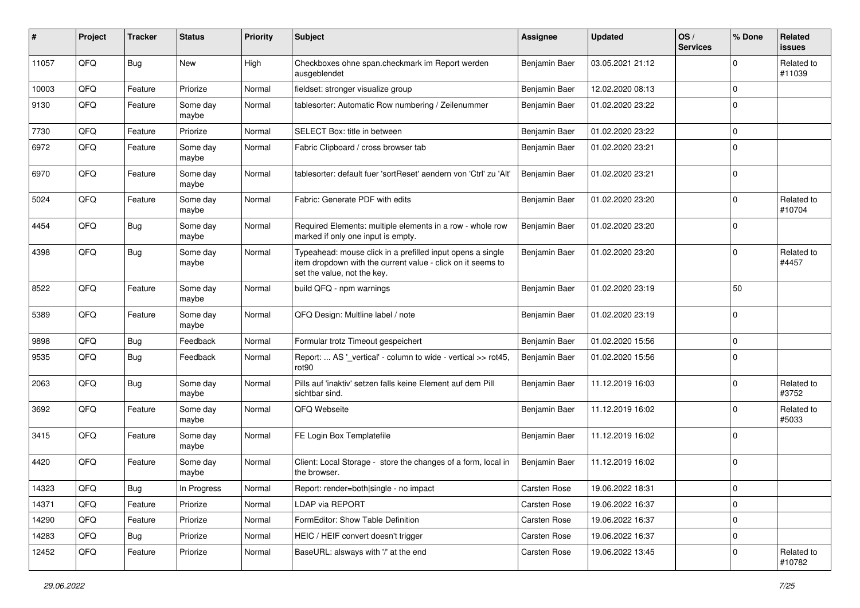| #     | Project | <b>Tracker</b> | <b>Status</b>     | <b>Priority</b> | <b>Subject</b>                                                                                                                                           | Assignee      | <b>Updated</b>   | OS/<br><b>Services</b> | % Done       | Related<br>issues    |
|-------|---------|----------------|-------------------|-----------------|----------------------------------------------------------------------------------------------------------------------------------------------------------|---------------|------------------|------------------------|--------------|----------------------|
| 11057 | QFQ     | Bug            | <b>New</b>        | High            | Checkboxes ohne span.checkmark im Report werden<br>ausgeblendet                                                                                          | Benjamin Baer | 03.05.2021 21:12 |                        | <sup>0</sup> | Related to<br>#11039 |
| 10003 | QFQ     | Feature        | Priorize          | Normal          | fieldset: stronger visualize group                                                                                                                       | Benjamin Baer | 12.02.2020 08:13 |                        | $\Omega$     |                      |
| 9130  | QFQ     | Feature        | Some day<br>maybe | Normal          | tablesorter: Automatic Row numbering / Zeilenummer                                                                                                       | Benjamin Baer | 01.02.2020 23:22 |                        | $\Omega$     |                      |
| 7730  | QFQ     | Feature        | Priorize          | Normal          | SELECT Box: title in between                                                                                                                             | Benjamin Baer | 01.02.2020 23:22 |                        | $\Omega$     |                      |
| 6972  | QFQ     | Feature        | Some day<br>maybe | Normal          | Fabric Clipboard / cross browser tab                                                                                                                     | Benjamin Baer | 01.02.2020 23:21 |                        | $\mathbf 0$  |                      |
| 6970  | QFQ     | Feature        | Some day<br>maybe | Normal          | tablesorter: default fuer 'sortReset' aendern von 'Ctrl' zu 'Alt'                                                                                        | Benjamin Baer | 01.02.2020 23:21 |                        | 0            |                      |
| 5024  | QFQ     | Feature        | Some day<br>maybe | Normal          | Fabric: Generate PDF with edits                                                                                                                          | Benjamin Baer | 01.02.2020 23:20 |                        | $\Omega$     | Related to<br>#10704 |
| 4454  | QFQ     | Bug            | Some day<br>maybe | Normal          | Required Elements: multiple elements in a row - whole row<br>marked if only one input is empty.                                                          | Benjamin Baer | 01.02.2020 23:20 |                        | $\Omega$     |                      |
| 4398  | QFQ     | Bug            | Some day<br>maybe | Normal          | Typeahead: mouse click in a prefilled input opens a single<br>item dropdown with the current value - click on it seems to<br>set the value, not the key. | Benjamin Baer | 01.02.2020 23:20 |                        | $\Omega$     | Related to<br>#4457  |
| 8522  | QFQ     | Feature        | Some day<br>maybe | Normal          | build QFQ - npm warnings                                                                                                                                 | Benjamin Baer | 01.02.2020 23:19 |                        | 50           |                      |
| 5389  | QFQ     | Feature        | Some day<br>maybe | Normal          | QFQ Design: Multline label / note                                                                                                                        | Benjamin Baer | 01.02.2020 23:19 |                        | $\Omega$     |                      |
| 9898  | QFQ     | Bug            | Feedback          | Normal          | Formular trotz Timeout gespeichert                                                                                                                       | Benjamin Baer | 01.02.2020 15:56 |                        | $\Omega$     |                      |
| 9535  | QFQ     | <b>Bug</b>     | Feedback          | Normal          | Report:  AS '_vertical' - column to wide - vertical >> rot45,<br>rot <sub>90</sub>                                                                       | Benjamin Baer | 01.02.2020 15:56 |                        | 0            |                      |
| 2063  | QFQ     | Bug            | Some day<br>maybe | Normal          | Pills auf 'inaktiv' setzen falls keine Element auf dem Pill<br>sichtbar sind.                                                                            | Benjamin Baer | 11.12.2019 16:03 |                        | $\Omega$     | Related to<br>#3752  |
| 3692  | QFQ     | Feature        | Some day<br>maybe | Normal          | QFQ Webseite                                                                                                                                             | Benjamin Baer | 11.12.2019 16:02 |                        | 0            | Related to<br>#5033  |
| 3415  | QFQ     | Feature        | Some day<br>maybe | Normal          | FE Login Box Templatefile                                                                                                                                | Benjamin Baer | 11.12.2019 16:02 |                        | $\Omega$     |                      |
| 4420  | QFQ     | Feature        | Some day<br>maybe | Normal          | Client: Local Storage - store the changes of a form, local in<br>the browser.                                                                            | Benjamin Baer | 11.12.2019 16:02 |                        | $\Omega$     |                      |
| 14323 | QFQ     | <b>Bug</b>     | In Progress       | Normal          | Report: render=both single - no impact                                                                                                                   | Carsten Rose  | 19.06.2022 18:31 |                        | ∣ ()         |                      |
| 14371 | QFQ     | Feature        | Priorize          | Normal          | <b>LDAP via REPORT</b>                                                                                                                                   | Carsten Rose  | 19.06.2022 16:37 |                        | $\Omega$     |                      |
| 14290 | QFQ     | Feature        | Priorize          | Normal          | FormEditor: Show Table Definition                                                                                                                        | Carsten Rose  | 19.06.2022 16:37 |                        | 0            |                      |
| 14283 | QFQ     | <b>Bug</b>     | Priorize          | Normal          | HEIC / HEIF convert doesn't trigger                                                                                                                      | Carsten Rose  | 19.06.2022 16:37 |                        | $\mathbf 0$  |                      |
| 12452 | QFQ     | Feature        | Priorize          | Normal          | BaseURL: alsways with '/' at the end                                                                                                                     | Carsten Rose  | 19.06.2022 13:45 |                        | 0            | Related to<br>#10782 |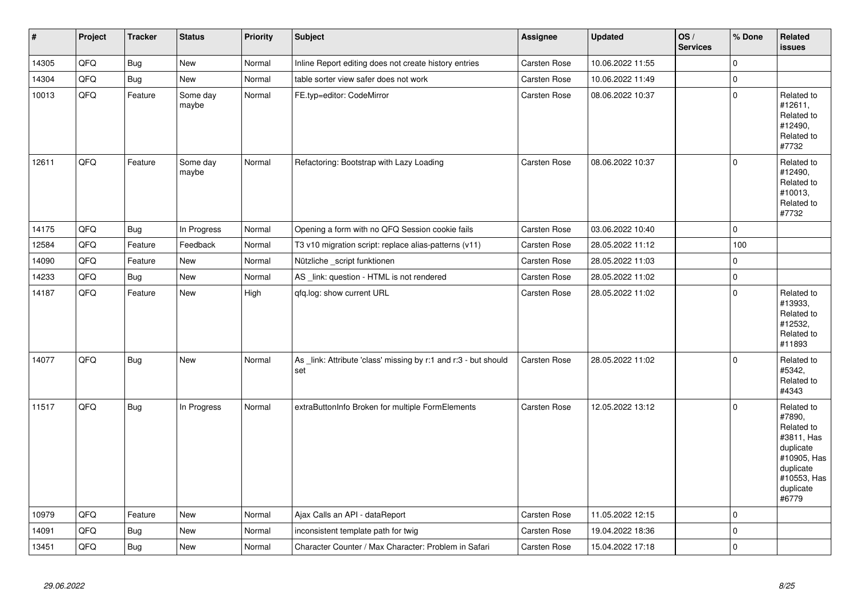| $\vert$ # | Project | <b>Tracker</b> | <b>Status</b>     | <b>Priority</b> | <b>Subject</b>                                                         | <b>Assignee</b>     | <b>Updated</b>   | OS/<br><b>Services</b> | % Done              | Related<br><b>issues</b>                                                                                                       |
|-----------|---------|----------------|-------------------|-----------------|------------------------------------------------------------------------|---------------------|------------------|------------------------|---------------------|--------------------------------------------------------------------------------------------------------------------------------|
| 14305     | QFQ     | Bug            | New               | Normal          | Inline Report editing does not create history entries                  | Carsten Rose        | 10.06.2022 11:55 |                        | $\mathsf{O}\xspace$ |                                                                                                                                |
| 14304     | QFQ     | Bug            | New               | Normal          | table sorter view safer does not work                                  | Carsten Rose        | 10.06.2022 11:49 |                        | $\mathbf 0$         |                                                                                                                                |
| 10013     | QFG     | Feature        | Some day<br>maybe | Normal          | FE.typ=editor: CodeMirror                                              | Carsten Rose        | 08.06.2022 10:37 |                        | $\mathbf 0$         | Related to<br>#12611,<br>Related to<br>#12490,<br>Related to<br>#7732                                                          |
| 12611     | QFQ     | Feature        | Some day<br>maybe | Normal          | Refactoring: Bootstrap with Lazy Loading                               | Carsten Rose        | 08.06.2022 10:37 |                        | $\mathbf 0$         | Related to<br>#12490,<br>Related to<br>#10013,<br>Related to<br>#7732                                                          |
| 14175     | QFQ     | <b>Bug</b>     | In Progress       | Normal          | Opening a form with no QFQ Session cookie fails                        | Carsten Rose        | 03.06.2022 10:40 |                        | $\mathbf 0$         |                                                                                                                                |
| 12584     | QFQ     | Feature        | Feedback          | Normal          | T3 v10 migration script: replace alias-patterns (v11)                  | Carsten Rose        | 28.05.2022 11:12 |                        | 100                 |                                                                                                                                |
| 14090     | QFQ     | Feature        | <b>New</b>        | Normal          | Nützliche _script funktionen                                           | Carsten Rose        | 28.05.2022 11:03 |                        | $\mathbf 0$         |                                                                                                                                |
| 14233     | QFG     | Bug            | New               | Normal          | AS _link: question - HTML is not rendered                              | Carsten Rose        | 28.05.2022 11:02 |                        | $\pmb{0}$           |                                                                                                                                |
| 14187     | QFQ     | Feature        | <b>New</b>        | High            | qfq.log: show current URL                                              | <b>Carsten Rose</b> | 28.05.2022 11:02 |                        | $\Omega$            | Related to<br>#13933,<br>Related to<br>#12532,<br>Related to<br>#11893                                                         |
| 14077     | QFQ     | Bug            | <b>New</b>        | Normal          | As _link: Attribute 'class' missing by r:1 and r:3 - but should<br>set | Carsten Rose        | 28.05.2022 11:02 |                        | $\mathbf 0$         | Related to<br>#5342,<br>Related to<br>#4343                                                                                    |
| 11517     | QFQ     | <b>Bug</b>     | In Progress       | Normal          | extraButtonInfo Broken for multiple FormElements                       | Carsten Rose        | 12.05.2022 13:12 |                        | $\mathbf 0$         | Related to<br>#7890,<br>Related to<br>#3811, Has<br>duplicate<br>#10905, Has<br>duplicate<br>#10553, Has<br>duplicate<br>#6779 |
| 10979     | QFQ     | Feature        | <b>New</b>        | Normal          | Ajax Calls an API - dataReport                                         | Carsten Rose        | 11.05.2022 12:15 |                        | $\mathbf 0$         |                                                                                                                                |
| 14091     | QFQ     | Bug            | New               | Normal          | inconsistent template path for twig                                    | Carsten Rose        | 19.04.2022 18:36 |                        | $\mathbf 0$         |                                                                                                                                |
| 13451     | QFQ     | Bug            | New               | Normal          | Character Counter / Max Character: Problem in Safari                   | <b>Carsten Rose</b> | 15.04.2022 17:18 |                        | $\mathbf 0$         |                                                                                                                                |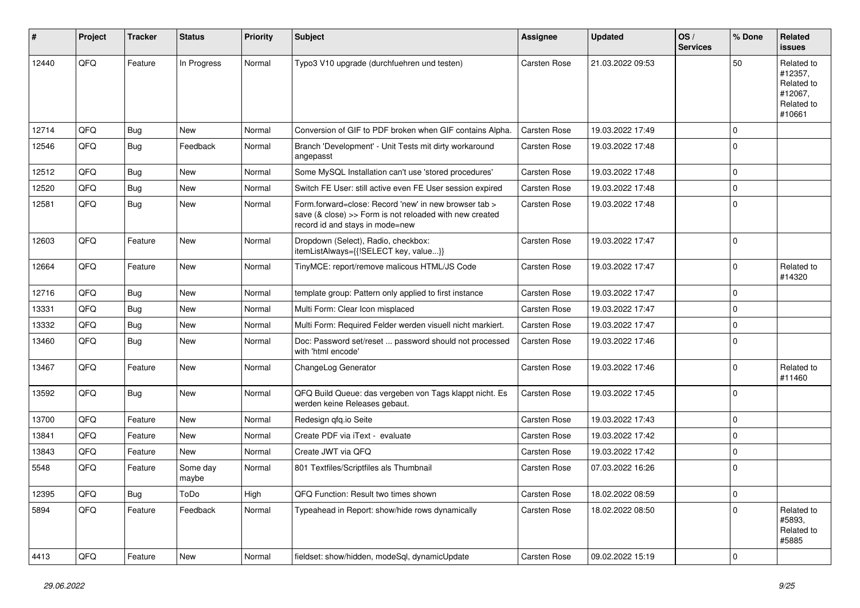| #     | Project | <b>Tracker</b> | <b>Status</b>     | <b>Priority</b> | <b>Subject</b>                                                                                                                                      | Assignee            | <b>Updated</b>   | OS/<br><b>Services</b> | % Done      | Related<br>issues                                                      |
|-------|---------|----------------|-------------------|-----------------|-----------------------------------------------------------------------------------------------------------------------------------------------------|---------------------|------------------|------------------------|-------------|------------------------------------------------------------------------|
| 12440 | QFQ     | Feature        | In Progress       | Normal          | Typo3 V10 upgrade (durchfuehren und testen)                                                                                                         | <b>Carsten Rose</b> | 21.03.2022 09:53 |                        | 50          | Related to<br>#12357,<br>Related to<br>#12067.<br>Related to<br>#10661 |
| 12714 | QFQ     | Bug            | <b>New</b>        | Normal          | Conversion of GIF to PDF broken when GIF contains Alpha.                                                                                            | <b>Carsten Rose</b> | 19.03.2022 17:49 |                        | 0           |                                                                        |
| 12546 | QFQ     | Bug            | Feedback          | Normal          | Branch 'Development' - Unit Tests mit dirty workaround<br>angepasst                                                                                 | <b>Carsten Rose</b> | 19.03.2022 17:48 |                        | $\Omega$    |                                                                        |
| 12512 | QFQ     | Bug            | <b>New</b>        | Normal          | Some MySQL Installation can't use 'stored procedures'                                                                                               | <b>Carsten Rose</b> | 19.03.2022 17:48 |                        | $\mathbf 0$ |                                                                        |
| 12520 | QFQ     | Bug            | <b>New</b>        | Normal          | Switch FE User: still active even FE User session expired                                                                                           | <b>Carsten Rose</b> | 19.03.2022 17:48 |                        | 0           |                                                                        |
| 12581 | QFQ     | Bug            | New               | Normal          | Form.forward=close: Record 'new' in new browser tab ><br>save (& close) >> Form is not reloaded with new created<br>record id and stays in mode=new | <b>Carsten Rose</b> | 19.03.2022 17:48 |                        | $\Omega$    |                                                                        |
| 12603 | QFQ     | Feature        | <b>New</b>        | Normal          | Dropdown (Select), Radio, checkbox:<br>itemListAlways={{!SELECT key, value}}                                                                        | <b>Carsten Rose</b> | 19.03.2022 17:47 |                        | $\mathbf 0$ |                                                                        |
| 12664 | QFQ     | Feature        | <b>New</b>        | Normal          | TinyMCE: report/remove malicous HTML/JS Code                                                                                                        | <b>Carsten Rose</b> | 19.03.2022 17:47 |                        | $\Omega$    | Related to<br>#14320                                                   |
| 12716 | QFQ     | Bug            | <b>New</b>        | Normal          | template group: Pattern only applied to first instance                                                                                              | <b>Carsten Rose</b> | 19.03.2022 17:47 |                        | $\Omega$    |                                                                        |
| 13331 | QFQ     | Bug            | <b>New</b>        | Normal          | Multi Form: Clear Icon misplaced                                                                                                                    | <b>Carsten Rose</b> | 19.03.2022 17:47 |                        | $\Omega$    |                                                                        |
| 13332 | QFQ     | <b>Bug</b>     | <b>New</b>        | Normal          | Multi Form: Required Felder werden visuell nicht markiert.                                                                                          | <b>Carsten Rose</b> | 19.03.2022 17:47 |                        | $\mathbf 0$ |                                                                        |
| 13460 | QFQ     | Bug            | <b>New</b>        | Normal          | Doc: Password set/reset  password should not processed<br>with 'html encode'                                                                        | <b>Carsten Rose</b> | 19.03.2022 17:46 |                        | $\Omega$    |                                                                        |
| 13467 | QFQ     | Feature        | <b>New</b>        | Normal          | ChangeLog Generator                                                                                                                                 | <b>Carsten Rose</b> | 19.03.2022 17:46 |                        | $\Omega$    | Related to<br>#11460                                                   |
| 13592 | QFQ     | <b>Bug</b>     | <b>New</b>        | Normal          | QFQ Build Queue: das vergeben von Tags klappt nicht. Es<br>werden keine Releases gebaut.                                                            | <b>Carsten Rose</b> | 19.03.2022 17:45 |                        | 0           |                                                                        |
| 13700 | QFQ     | Feature        | <b>New</b>        | Normal          | Redesign qfq.io Seite                                                                                                                               | <b>Carsten Rose</b> | 19.03.2022 17:43 |                        | $\mathbf 0$ |                                                                        |
| 13841 | QFQ     | Feature        | <b>New</b>        | Normal          | Create PDF via iText - evaluate                                                                                                                     | <b>Carsten Rose</b> | 19.03.2022 17:42 |                        | $\Omega$    |                                                                        |
| 13843 | QFQ     | Feature        | New               | Normal          | Create JWT via QFQ                                                                                                                                  | Carsten Rose        | 19.03.2022 17:42 |                        | $\Omega$    |                                                                        |
| 5548  | QFQ     | Feature        | Some day<br>maybe | Normal          | 801 Textfiles/Scriptfiles als Thumbnail                                                                                                             | <b>Carsten Rose</b> | 07.03.2022 16:26 |                        | 0           |                                                                        |
| 12395 | QFQ     | <b>Bug</b>     | ToDo              | High            | QFQ Function: Result two times shown                                                                                                                | Carsten Rose        | 18.02.2022 08:59 |                        | 0           |                                                                        |
| 5894  | QFQ     | Feature        | Feedback          | Normal          | Typeahead in Report: show/hide rows dynamically                                                                                                     | Carsten Rose        | 18.02.2022 08:50 |                        | $\Omega$    | Related to<br>#5893,<br>Related to<br>#5885                            |
| 4413  | QFQ     | Feature        | New               | Normal          | fieldset: show/hidden, modeSql, dynamicUpdate                                                                                                       | <b>Carsten Rose</b> | 09.02.2022 15:19 |                        | 0           |                                                                        |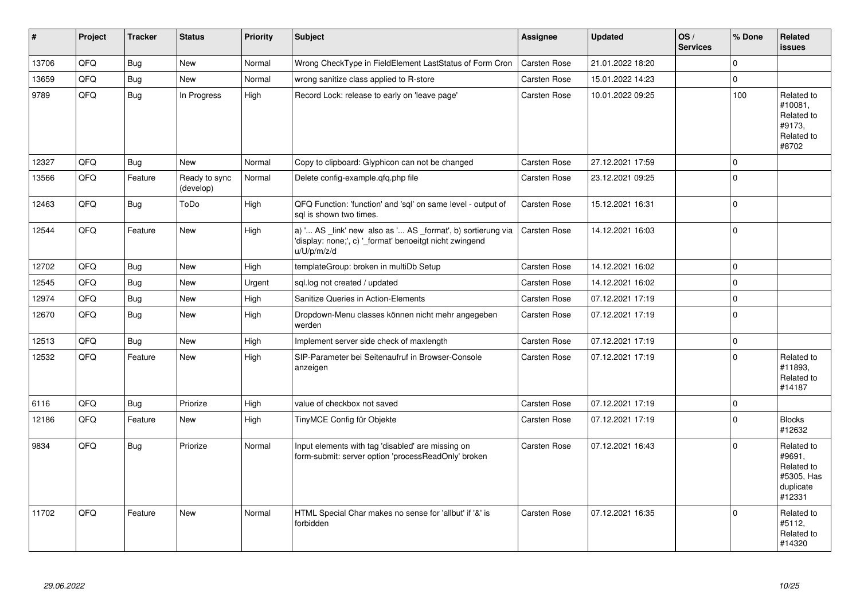| $\vert$ # | Project | <b>Tracker</b> | <b>Status</b>              | <b>Priority</b> | <b>Subject</b>                                                                                                                        | Assignee            | <b>Updated</b>   | OS/<br><b>Services</b> | % Done       | Related<br>issues                                                       |
|-----------|---------|----------------|----------------------------|-----------------|---------------------------------------------------------------------------------------------------------------------------------------|---------------------|------------------|------------------------|--------------|-------------------------------------------------------------------------|
| 13706     | QFQ     | <b>Bug</b>     | <b>New</b>                 | Normal          | Wrong CheckType in FieldElement LastStatus of Form Cron                                                                               | Carsten Rose        | 21.01.2022 18:20 |                        | $\Omega$     |                                                                         |
| 13659     | QFQ     | Bug            | New                        | Normal          | wrong sanitize class applied to R-store                                                                                               | Carsten Rose        | 15.01.2022 14:23 |                        | $\Omega$     |                                                                         |
| 9789      | QFQ     | Bug            | In Progress                | High            | Record Lock: release to early on 'leave page'                                                                                         | Carsten Rose        | 10.01.2022 09:25 |                        | 100          | Related to<br>#10081,<br>Related to<br>#9173,<br>Related to<br>#8702    |
| 12327     | QFQ     | Bug            | <b>New</b>                 | Normal          | Copy to clipboard: Glyphicon can not be changed                                                                                       | Carsten Rose        | 27.12.2021 17:59 |                        | $\Omega$     |                                                                         |
| 13566     | QFQ     | Feature        | Ready to sync<br>(develop) | Normal          | Delete config-example.gfg.php file                                                                                                    | <b>Carsten Rose</b> | 23.12.2021 09:25 |                        | $\Omega$     |                                                                         |
| 12463     | QFQ     | <b>Bug</b>     | ToDo                       | High            | QFQ Function: 'function' and 'sql' on same level - output of<br>sal is shown two times.                                               | Carsten Rose        | 15.12.2021 16:31 |                        | $\Omega$     |                                                                         |
| 12544     | QFQ     | Feature        | <b>New</b>                 | High            | a) ' AS _link' new also as ' AS _format', b) sortierung via<br>'display: none;', c) '_format' benoeitgt nicht zwingend<br>u/U/p/m/z/d | Carsten Rose        | 14.12.2021 16:03 |                        | $\Omega$     |                                                                         |
| 12702     | QFQ     | Bug            | <b>New</b>                 | High            | templateGroup: broken in multiDb Setup                                                                                                | Carsten Rose        | 14.12.2021 16:02 |                        | $\Omega$     |                                                                         |
| 12545     | QFQ     | <b>Bug</b>     | <b>New</b>                 | Urgent          | sql.log not created / updated                                                                                                         | <b>Carsten Rose</b> | 14.12.2021 16:02 |                        | $\Omega$     |                                                                         |
| 12974     | QFQ     | <b>Bug</b>     | <b>New</b>                 | High            | Sanitize Queries in Action-Elements                                                                                                   | Carsten Rose        | 07.12.2021 17:19 |                        | $\Omega$     |                                                                         |
| 12670     | QFQ     | Bug            | New                        | High            | Dropdown-Menu classes können nicht mehr angegeben<br>werden                                                                           | <b>Carsten Rose</b> | 07.12.2021 17:19 |                        | $\Omega$     |                                                                         |
| 12513     | QFQ     | <b>Bug</b>     | <b>New</b>                 | High            | Implement server side check of maxlength                                                                                              | <b>Carsten Rose</b> | 07.12.2021 17:19 |                        | $\Omega$     |                                                                         |
| 12532     | QFQ     | Feature        | <b>New</b>                 | High            | SIP-Parameter bei Seitenaufruf in Browser-Console<br>anzeigen                                                                         | <b>Carsten Rose</b> | 07.12.2021 17:19 |                        | $\Omega$     | Related to<br>#11893,<br>Related to<br>#14187                           |
| 6116      | QFQ     | <b>Bug</b>     | Priorize                   | High            | value of checkbox not saved                                                                                                           | Carsten Rose        | 07.12.2021 17:19 |                        | $\Omega$     |                                                                         |
| 12186     | QFQ     | Feature        | <b>New</b>                 | High            | TinyMCE Config für Objekte                                                                                                            | <b>Carsten Rose</b> | 07.12.2021 17:19 |                        | $\Omega$     | <b>Blocks</b><br>#12632                                                 |
| 9834      | QFQ     | <b>Bug</b>     | Priorize                   | Normal          | Input elements with tag 'disabled' are missing on<br>form-submit: server option 'processReadOnly' broken                              | Carsten Rose        | 07.12.2021 16:43 |                        | <sup>0</sup> | Related to<br>#9691.<br>Related to<br>#5305, Has<br>duplicate<br>#12331 |
| 11702     | QFQ     | Feature        | <b>New</b>                 | Normal          | HTML Special Char makes no sense for 'allbut' if '&' is<br>forbidden                                                                  | <b>Carsten Rose</b> | 07.12.2021 16:35 |                        | $\Omega$     | Related to<br>#5112,<br>Related to<br>#14320                            |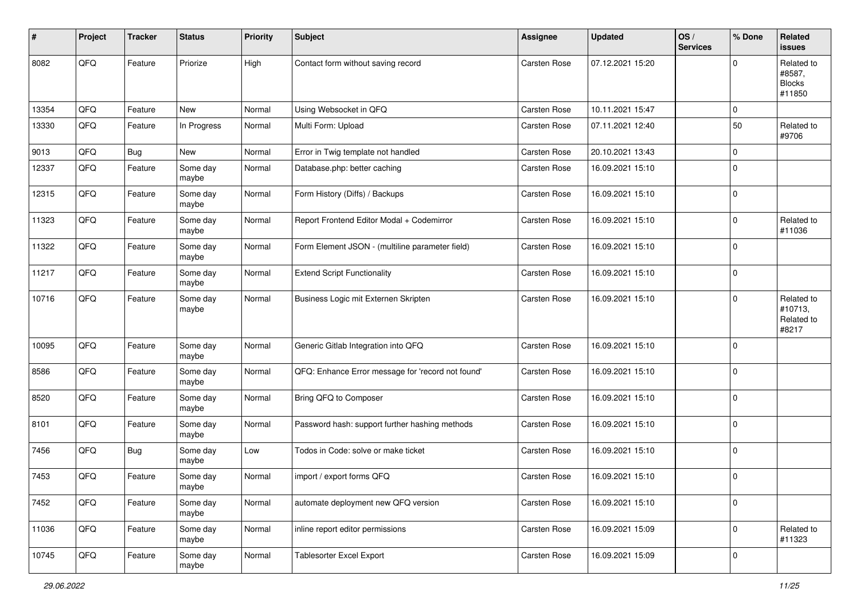| #     | Project | <b>Tracker</b> | <b>Status</b>     | <b>Priority</b> | <b>Subject</b>                                    | Assignee     | <b>Updated</b>   | OS/<br><b>Services</b> | % Done      | Related<br>issues                               |
|-------|---------|----------------|-------------------|-----------------|---------------------------------------------------|--------------|------------------|------------------------|-------------|-------------------------------------------------|
| 8082  | QFQ     | Feature        | Priorize          | High            | Contact form without saving record                | Carsten Rose | 07.12.2021 15:20 |                        | $\Omega$    | Related to<br>#8587,<br><b>Blocks</b><br>#11850 |
| 13354 | QFQ     | Feature        | <b>New</b>        | Normal          | Using Websocket in QFQ                            | Carsten Rose | 10.11.2021 15:47 |                        | $\mathbf 0$ |                                                 |
| 13330 | QFQ     | Feature        | In Progress       | Normal          | Multi Form: Upload                                | Carsten Rose | 07.11.2021 12:40 |                        | 50          | Related to<br>#9706                             |
| 9013  | QFQ     | <b>Bug</b>     | <b>New</b>        | Normal          | Error in Twig template not handled                | Carsten Rose | 20.10.2021 13:43 |                        | $\Omega$    |                                                 |
| 12337 | QFQ     | Feature        | Some day<br>maybe | Normal          | Database.php: better caching                      | Carsten Rose | 16.09.2021 15:10 |                        | $\Omega$    |                                                 |
| 12315 | QFQ     | Feature        | Some day<br>maybe | Normal          | Form History (Diffs) / Backups                    | Carsten Rose | 16.09.2021 15:10 |                        | $\mathbf 0$ |                                                 |
| 11323 | QFQ     | Feature        | Some day<br>maybe | Normal          | Report Frontend Editor Modal + Codemirror         | Carsten Rose | 16.09.2021 15:10 |                        | 0           | Related to<br>#11036                            |
| 11322 | QFQ     | Feature        | Some day<br>maybe | Normal          | Form Element JSON - (multiline parameter field)   | Carsten Rose | 16.09.2021 15:10 |                        | $\mathbf 0$ |                                                 |
| 11217 | QFQ     | Feature        | Some day<br>maybe | Normal          | <b>Extend Script Functionality</b>                | Carsten Rose | 16.09.2021 15:10 |                        | 0           |                                                 |
| 10716 | QFQ     | Feature        | Some day<br>maybe | Normal          | Business Logic mit Externen Skripten              | Carsten Rose | 16.09.2021 15:10 |                        | $\Omega$    | Related to<br>#10713,<br>Related to<br>#8217    |
| 10095 | QFQ     | Feature        | Some day<br>maybe | Normal          | Generic Gitlab Integration into QFQ               | Carsten Rose | 16.09.2021 15:10 |                        | 0           |                                                 |
| 8586  | QFQ     | Feature        | Some day<br>maybe | Normal          | QFQ: Enhance Error message for 'record not found' | Carsten Rose | 16.09.2021 15:10 |                        | $\Omega$    |                                                 |
| 8520  | QFQ     | Feature        | Some day<br>maybe | Normal          | Bring QFQ to Composer                             | Carsten Rose | 16.09.2021 15:10 |                        | $\Omega$    |                                                 |
| 8101  | QFQ     | Feature        | Some day<br>maybe | Normal          | Password hash: support further hashing methods    | Carsten Rose | 16.09.2021 15:10 |                        | $\mathbf 0$ |                                                 |
| 7456  | QFQ     | <b>Bug</b>     | Some day<br>maybe | Low             | Todos in Code: solve or make ticket               | Carsten Rose | 16.09.2021 15:10 |                        | $\mathbf 0$ |                                                 |
| 7453  | QFQ     | Feature        | Some day<br>maybe | Normal          | import / export forms QFQ                         | Carsten Rose | 16.09.2021 15:10 |                        | $\mathbf 0$ |                                                 |
| 7452  | QFG     | Feature        | Some day<br>maybe | Normal          | automate deployment new QFQ version               | Carsten Rose | 16.09.2021 15:10 |                        | $\mathbf 0$ |                                                 |
| 11036 | QFQ     | Feature        | Some day<br>maybe | Normal          | inline report editor permissions                  | Carsten Rose | 16.09.2021 15:09 |                        | 0           | Related to<br>#11323                            |
| 10745 | QFG     | Feature        | Some day<br>maybe | Normal          | Tablesorter Excel Export                          | Carsten Rose | 16.09.2021 15:09 |                        | 0           |                                                 |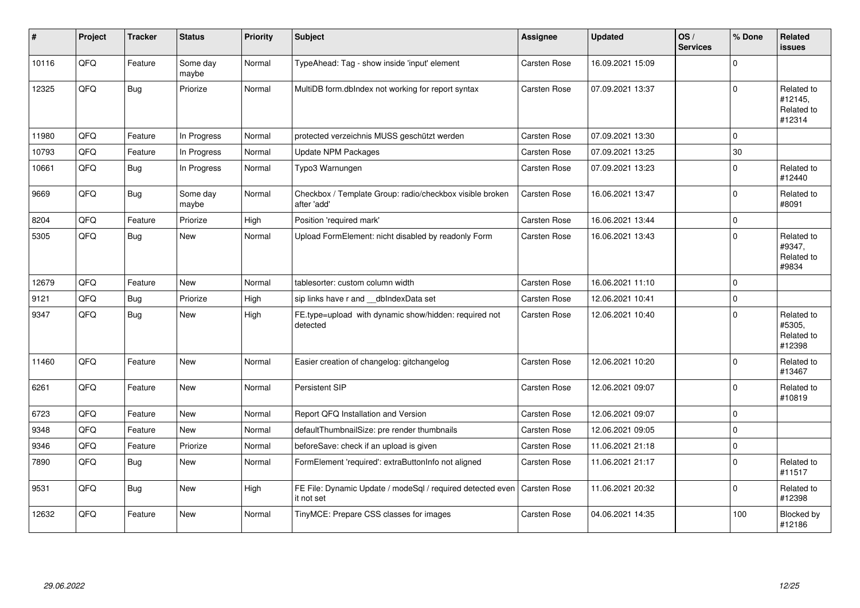| ∦     | Project | <b>Tracker</b> | <b>Status</b>     | <b>Priority</b> | <b>Subject</b>                                                           | Assignee            | <b>Updated</b>   | OS/<br><b>Services</b> | % Done      | Related<br><b>issues</b>                      |
|-------|---------|----------------|-------------------|-----------------|--------------------------------------------------------------------------|---------------------|------------------|------------------------|-------------|-----------------------------------------------|
| 10116 | QFQ     | Feature        | Some day<br>maybe | Normal          | TypeAhead: Tag - show inside 'input' element                             | Carsten Rose        | 16.09.2021 15:09 |                        | $\Omega$    |                                               |
| 12325 | QFQ     | Bug            | Priorize          | Normal          | MultiDB form.dblndex not working for report syntax                       | Carsten Rose        | 07.09.2021 13:37 |                        | $\Omega$    | Related to<br>#12145,<br>Related to<br>#12314 |
| 11980 | QFQ     | Feature        | In Progress       | Normal          | protected verzeichnis MUSS geschützt werden                              | <b>Carsten Rose</b> | 07.09.2021 13:30 |                        | $\mathbf 0$ |                                               |
| 10793 | QFQ     | Feature        | In Progress       | Normal          | <b>Update NPM Packages</b>                                               | Carsten Rose        | 07.09.2021 13:25 |                        | 30          |                                               |
| 10661 | QFQ     | <b>Bug</b>     | In Progress       | Normal          | Typo3 Warnungen                                                          | <b>Carsten Rose</b> | 07.09.2021 13:23 |                        | $\Omega$    | Related to<br>#12440                          |
| 9669  | QFQ     | <b>Bug</b>     | Some day<br>maybe | Normal          | Checkbox / Template Group: radio/checkbox visible broken<br>after 'add'  | <b>Carsten Rose</b> | 16.06.2021 13:47 |                        | $\Omega$    | Related to<br>#8091                           |
| 8204  | QFQ     | Feature        | Priorize          | High            | Position 'required mark'                                                 | Carsten Rose        | 16.06.2021 13:44 |                        | $\pmb{0}$   |                                               |
| 5305  | QFQ     | Bug            | <b>New</b>        | Normal          | Upload FormElement: nicht disabled by readonly Form                      | <b>Carsten Rose</b> | 16.06.2021 13:43 |                        | $\Omega$    | Related to<br>#9347,<br>Related to<br>#9834   |
| 12679 | QFQ     | Feature        | <b>New</b>        | Normal          | tablesorter: custom column width                                         | Carsten Rose        | 16.06.2021 11:10 |                        | $\Omega$    |                                               |
| 9121  | QFQ     | Bug            | Priorize          | High            | sip links have r and __dbIndexData set                                   | <b>Carsten Rose</b> | 12.06.2021 10:41 |                        | $\mathbf 0$ |                                               |
| 9347  | QFQ     | Bug            | New               | High            | FE.type=upload with dynamic show/hidden: required not<br>detected        | <b>Carsten Rose</b> | 12.06.2021 10:40 |                        | $\Omega$    | Related to<br>#5305,<br>Related to<br>#12398  |
| 11460 | QFQ     | Feature        | New               | Normal          | Easier creation of changelog: gitchangelog                               | Carsten Rose        | 12.06.2021 10:20 |                        | $\Omega$    | Related to<br>#13467                          |
| 6261  | QFQ     | Feature        | New               | Normal          | Persistent SIP                                                           | Carsten Rose        | 12.06.2021 09:07 |                        | $\Omega$    | Related to<br>#10819                          |
| 6723  | QFQ     | Feature        | <b>New</b>        | Normal          | Report QFQ Installation and Version                                      | Carsten Rose        | 12.06.2021 09:07 |                        | $\Omega$    |                                               |
| 9348  | QFQ     | Feature        | New               | Normal          | defaultThumbnailSize: pre render thumbnails                              | Carsten Rose        | 12.06.2021 09:05 |                        | $\mathbf 0$ |                                               |
| 9346  | QFQ     | Feature        | Priorize          | Normal          | beforeSave: check if an upload is given                                  | Carsten Rose        | 11.06.2021 21:18 |                        | $\Omega$    |                                               |
| 7890  | QFQ     | Bug            | New               | Normal          | FormElement 'required': extraButtonInfo not aligned                      | Carsten Rose        | 11.06.2021 21:17 |                        | $\Omega$    | Related to<br>#11517                          |
| 9531  | QFQ     | <b>Bug</b>     | New               | High            | FE File: Dynamic Update / modeSql / required detected even<br>it not set | <b>Carsten Rose</b> | 11.06.2021 20:32 |                        | $\Omega$    | Related to<br>#12398                          |
| 12632 | QFQ     | Feature        | <b>New</b>        | Normal          | TinyMCE: Prepare CSS classes for images                                  | Carsten Rose        | 04.06.2021 14:35 |                        | 100         | Blocked by<br>#12186                          |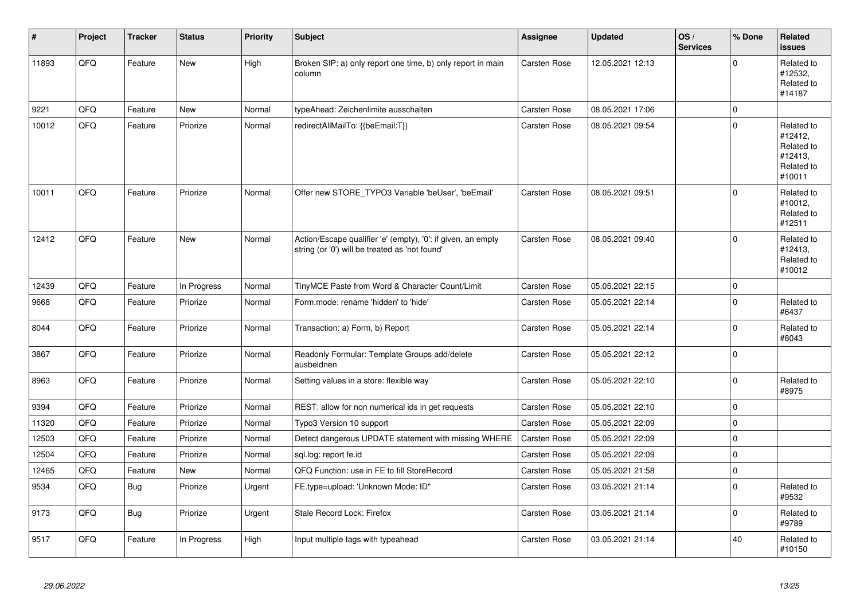| #     | Project | <b>Tracker</b> | <b>Status</b> | <b>Priority</b> | <b>Subject</b>                                                                                                 | Assignee     | <b>Updated</b>   | OS/<br><b>Services</b> | % Done      | Related<br><b>issues</b>                                               |
|-------|---------|----------------|---------------|-----------------|----------------------------------------------------------------------------------------------------------------|--------------|------------------|------------------------|-------------|------------------------------------------------------------------------|
| 11893 | QFQ     | Feature        | New           | High            | Broken SIP: a) only report one time, b) only report in main<br>column                                          | Carsten Rose | 12.05.2021 12:13 |                        | $\mathbf 0$ | Related to<br>#12532,<br>Related to<br>#14187                          |
| 9221  | QFQ     | Feature        | <b>New</b>    | Normal          | typeAhead: Zeichenlimite ausschalten                                                                           | Carsten Rose | 08.05.2021 17:06 |                        | $\mathbf 0$ |                                                                        |
| 10012 | QFQ     | Feature        | Priorize      | Normal          | redirectAllMailTo: {{beEmail:T}}                                                                               | Carsten Rose | 08.05.2021 09:54 |                        | $\Omega$    | Related to<br>#12412,<br>Related to<br>#12413,<br>Related to<br>#10011 |
| 10011 | QFQ     | Feature        | Priorize      | Normal          | Offer new STORE_TYPO3 Variable 'beUser', 'beEmail'                                                             | Carsten Rose | 08.05.2021 09:51 |                        | $\Omega$    | Related to<br>#10012,<br>Related to<br>#12511                          |
| 12412 | QFQ     | Feature        | <b>New</b>    | Normal          | Action/Escape qualifier 'e' (empty), '0': if given, an empty<br>string (or '0') will be treated as 'not found' | Carsten Rose | 08.05.2021 09:40 |                        | $\mathbf 0$ | Related to<br>#12413,<br>Related to<br>#10012                          |
| 12439 | QFQ     | Feature        | In Progress   | Normal          | TinyMCE Paste from Word & Character Count/Limit                                                                | Carsten Rose | 05.05.2021 22:15 |                        | $\mathbf 0$ |                                                                        |
| 9668  | QFQ     | Feature        | Priorize      | Normal          | Form.mode: rename 'hidden' to 'hide'                                                                           | Carsten Rose | 05.05.2021 22:14 |                        | $\mathbf 0$ | Related to<br>#6437                                                    |
| 8044  | QFQ     | Feature        | Priorize      | Normal          | Transaction: a) Form, b) Report                                                                                | Carsten Rose | 05.05.2021 22:14 |                        | $\mathbf 0$ | Related to<br>#8043                                                    |
| 3867  | QFQ     | Feature        | Priorize      | Normal          | Readonly Formular: Template Groups add/delete<br>ausbeldnen                                                    | Carsten Rose | 05.05.2021 22:12 |                        | $\Omega$    |                                                                        |
| 8963  | QFQ     | Feature        | Priorize      | Normal          | Setting values in a store: flexible way                                                                        | Carsten Rose | 05.05.2021 22:10 |                        | $\mathbf 0$ | Related to<br>#8975                                                    |
| 9394  | QFQ     | Feature        | Priorize      | Normal          | REST: allow for non numerical ids in get requests                                                              | Carsten Rose | 05.05.2021 22:10 |                        | $\mathbf 0$ |                                                                        |
| 11320 | QFQ     | Feature        | Priorize      | Normal          | Typo3 Version 10 support                                                                                       | Carsten Rose | 05.05.2021 22:09 |                        | $\pmb{0}$   |                                                                        |
| 12503 | QFQ     | Feature        | Priorize      | Normal          | Detect dangerous UPDATE statement with missing WHERE                                                           | Carsten Rose | 05.05.2021 22:09 |                        | $\mathbf 0$ |                                                                        |
| 12504 | QFQ     | Feature        | Priorize      | Normal          | sgl.log: report fe.id                                                                                          | Carsten Rose | 05.05.2021 22:09 |                        | $\mathbf 0$ |                                                                        |
| 12465 | QFQ     | Feature        | New           | Normal          | QFQ Function: use in FE to fill StoreRecord                                                                    | Carsten Rose | 05.05.2021 21:58 |                        | $\pmb{0}$   |                                                                        |
| 9534  | QFQ     | <b>Bug</b>     | Priorize      | Urgent          | FE.type=upload: 'Unknown Mode: ID"                                                                             | Carsten Rose | 03.05.2021 21:14 |                        | $\mathbf 0$ | Related to<br>#9532                                                    |
| 9173  | QFQ     | Bug            | Priorize      | Urgent          | Stale Record Lock: Firefox                                                                                     | Carsten Rose | 03.05.2021 21:14 |                        | $\mathbf 0$ | Related to<br>#9789                                                    |
| 9517  | QFQ     | Feature        | In Progress   | High            | Input multiple tags with typeahead                                                                             | Carsten Rose | 03.05.2021 21:14 |                        | 40          | Related to<br>#10150                                                   |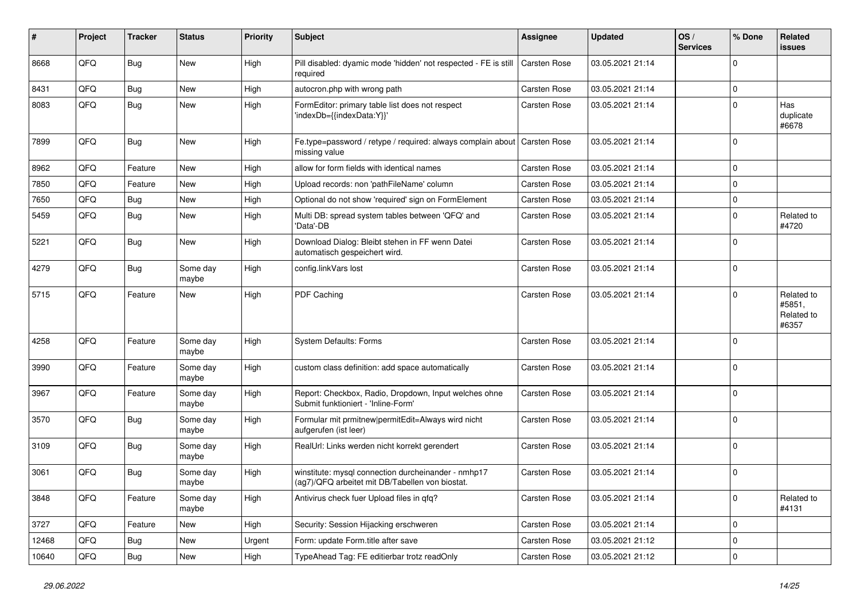| #     | Project | <b>Tracker</b> | <b>Status</b>     | <b>Priority</b> | <b>Subject</b>                                                                                         | Assignee     | <b>Updated</b>   | OS/<br><b>Services</b> | % Done      | Related<br>issues                           |
|-------|---------|----------------|-------------------|-----------------|--------------------------------------------------------------------------------------------------------|--------------|------------------|------------------------|-------------|---------------------------------------------|
| 8668  | QFQ     | <b>Bug</b>     | New               | High            | Pill disabled: dyamic mode 'hidden' not respected - FE is still<br>required                            | Carsten Rose | 03.05.2021 21:14 |                        | $\Omega$    |                                             |
| 8431  | QFQ     | <b>Bug</b>     | <b>New</b>        | High            | autocron.php with wrong path                                                                           | Carsten Rose | 03.05.2021 21:14 |                        | $\mathbf 0$ |                                             |
| 8083  | QFQ     | <b>Bug</b>     | <b>New</b>        | High            | FormEditor: primary table list does not respect<br>'indexDb={{indexData:Y}}'                           | Carsten Rose | 03.05.2021 21:14 |                        | $\Omega$    | Has<br>duplicate<br>#6678                   |
| 7899  | QFQ     | Bug            | <b>New</b>        | High            | Fe.type=password / retype / required: always complain about<br>missing value                           | Carsten Rose | 03.05.2021 21:14 |                        | $\mathbf 0$ |                                             |
| 8962  | QFQ     | Feature        | New               | High            | allow for form fields with identical names                                                             | Carsten Rose | 03.05.2021 21:14 |                        | $\Omega$    |                                             |
| 7850  | QFQ     | Feature        | <b>New</b>        | High            | Upload records: non 'pathFileName' column                                                              | Carsten Rose | 03.05.2021 21:14 |                        | $\Omega$    |                                             |
| 7650  | QFQ     | <b>Bug</b>     | <b>New</b>        | High            | Optional do not show 'required' sign on FormElement                                                    | Carsten Rose | 03.05.2021 21:14 |                        | $\mathbf 0$ |                                             |
| 5459  | QFQ     | <b>Bug</b>     | New               | High            | Multi DB: spread system tables between 'QFQ' and<br>'Data'-DB                                          | Carsten Rose | 03.05.2021 21:14 |                        | $\Omega$    | Related to<br>#4720                         |
| 5221  | QFQ     | <b>Bug</b>     | <b>New</b>        | High            | Download Dialog: Bleibt stehen in FF wenn Datei<br>automatisch gespeichert wird.                       | Carsten Rose | 03.05.2021 21:14 |                        | $\Omega$    |                                             |
| 4279  | QFQ     | <b>Bug</b>     | Some day<br>maybe | High            | config.linkVars lost                                                                                   | Carsten Rose | 03.05.2021 21:14 |                        | $\Omega$    |                                             |
| 5715  | QFQ     | Feature        | <b>New</b>        | High            | PDF Caching                                                                                            | Carsten Rose | 03.05.2021 21:14 |                        | $\Omega$    | Related to<br>#5851,<br>Related to<br>#6357 |
| 4258  | QFQ     | Feature        | Some day<br>maybe | High            | System Defaults: Forms                                                                                 | Carsten Rose | 03.05.2021 21:14 |                        | $\Omega$    |                                             |
| 3990  | QFQ     | Feature        | Some day<br>maybe | High            | custom class definition: add space automatically                                                       | Carsten Rose | 03.05.2021 21:14 |                        | $\Omega$    |                                             |
| 3967  | QFQ     | Feature        | Some day<br>maybe | High            | Report: Checkbox, Radio, Dropdown, Input welches ohne<br>Submit funktioniert - 'Inline-Form'           | Carsten Rose | 03.05.2021 21:14 |                        | $\Omega$    |                                             |
| 3570  | QFQ     | <b>Bug</b>     | Some day<br>maybe | High            | Formular mit prmitnew permitEdit=Always wird nicht<br>aufgerufen (ist leer)                            | Carsten Rose | 03.05.2021 21:14 |                        | $\mathbf 0$ |                                             |
| 3109  | QFQ     | <b>Bug</b>     | Some day<br>maybe | High            | RealUrl: Links werden nicht korrekt gerendert                                                          | Carsten Rose | 03.05.2021 21:14 |                        | $\Omega$    |                                             |
| 3061  | QFQ     | <b>Bug</b>     | Some day<br>maybe | High            | winstitute: mysql connection durcheinander - nmhp17<br>(ag7)/QFQ arbeitet mit DB/Tabellen von biostat. | Carsten Rose | 03.05.2021 21:14 |                        | $\Omega$    |                                             |
| 3848  | QFQ     | Feature        | Some day<br>maybe | High            | Antivirus check fuer Upload files in qfq?                                                              | Carsten Rose | 03.05.2021 21:14 |                        | $\mathbf 0$ | Related to<br>#4131                         |
| 3727  | QFQ     | Feature        | New               | High            | Security: Session Hijacking erschweren                                                                 | Carsten Rose | 03.05.2021 21:14 |                        | $\mathbf 0$ |                                             |
| 12468 | QFQ     | <b>Bug</b>     | New               | Urgent          | Form: update Form.title after save                                                                     | Carsten Rose | 03.05.2021 21:12 |                        | 0           |                                             |
| 10640 | QFQ     | Bug            | New               | High            | TypeAhead Tag: FE editierbar trotz readOnly                                                            | Carsten Rose | 03.05.2021 21:12 |                        | 0           |                                             |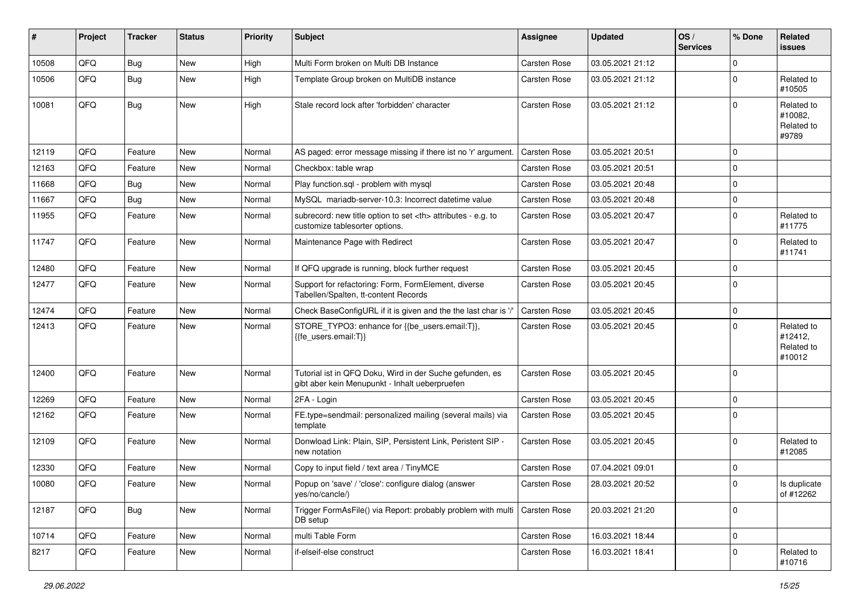| #     | Project | <b>Tracker</b> | <b>Status</b> | <b>Priority</b> | Subject                                                                                                    | Assignee                                               | <b>Updated</b>   | OS/<br><b>Services</b> | % Done         | Related<br>issues                             |                      |
|-------|---------|----------------|---------------|-----------------|------------------------------------------------------------------------------------------------------------|--------------------------------------------------------|------------------|------------------------|----------------|-----------------------------------------------|----------------------|
| 10508 | QFQ     | Bug            | New           | High            | Multi Form broken on Multi DB Instance                                                                     | Carsten Rose                                           | 03.05.2021 21:12 |                        | $\Omega$       |                                               |                      |
| 10506 | QFQ     | Bug            | <b>New</b>    | High            | Template Group broken on MultiDB instance                                                                  | Carsten Rose                                           | 03.05.2021 21:12 |                        | $\Omega$       | Related to<br>#10505                          |                      |
| 10081 | QFQ     | Bug            | <b>New</b>    | High            | Stale record lock after 'forbidden' character                                                              | Carsten Rose                                           | 03.05.2021 21:12 |                        | $\Omega$       | Related to<br>#10082,<br>Related to<br>#9789  |                      |
| 12119 | QFQ     | Feature        | <b>New</b>    | Normal          | AS paged: error message missing if there ist no 'r' argument.                                              | Carsten Rose                                           | 03.05.2021 20:51 |                        | $\Omega$       |                                               |                      |
| 12163 | QFQ     | Feature        | <b>New</b>    | Normal          | Checkbox: table wrap                                                                                       | Carsten Rose                                           | 03.05.2021 20:51 |                        | $\Omega$       |                                               |                      |
| 11668 | QFQ     | <b>Bug</b>     | New           | Normal          | Play function.sql - problem with mysql                                                                     | Carsten Rose                                           | 03.05.2021 20:48 |                        | $\mathbf 0$    |                                               |                      |
| 11667 | QFQ     | <b>Bug</b>     | <b>New</b>    | Normal          | MySQL mariadb-server-10.3: Incorrect datetime value                                                        | Carsten Rose                                           | 03.05.2021 20:48 |                        | $\Omega$       |                                               |                      |
| 11955 | QFQ     | Feature        | <b>New</b>    | Normal          | subrecord: new title option to set <th> attributes - e.g. to<br/>customize tablesorter options.</th>       | attributes - e.g. to<br>customize tablesorter options. | Carsten Rose     | 03.05.2021 20:47       |                | $\Omega$                                      | Related to<br>#11775 |
| 11747 | QFQ     | Feature        | <b>New</b>    | Normal          | Maintenance Page with Redirect                                                                             | Carsten Rose                                           | 03.05.2021 20:47 |                        | $\Omega$       | Related to<br>#11741                          |                      |
| 12480 | QFQ     | Feature        | <b>New</b>    | Normal          | If QFQ upgrade is running, block further request                                                           | Carsten Rose                                           | 03.05.2021 20:45 |                        | $\Omega$       |                                               |                      |
| 12477 | QFQ     | Feature        | New           | Normal          | Support for refactoring: Form, FormElement, diverse<br>Tabellen/Spalten, tt-content Records                | Carsten Rose                                           | 03.05.2021 20:45 |                        | $\Omega$       |                                               |                      |
| 12474 | QFQ     | Feature        | <b>New</b>    | Normal          | Check BaseConfigURL if it is given and the the last char is '/                                             | Carsten Rose                                           | 03.05.2021 20:45 |                        | $\Omega$       |                                               |                      |
| 12413 | QFQ     | Feature        | New           | Normal          | STORE_TYPO3: enhance for {{be_users.email:T}},<br>{{fe users.email:T}}                                     | Carsten Rose                                           | 03.05.2021 20:45 |                        | $\Omega$       | Related to<br>#12412,<br>Related to<br>#10012 |                      |
| 12400 | QFQ     | Feature        | <b>New</b>    | Normal          | Tutorial ist in QFQ Doku, Wird in der Suche gefunden, es<br>gibt aber kein Menupunkt - Inhalt ueberpruefen | Carsten Rose                                           | 03.05.2021 20:45 |                        | $\Omega$       |                                               |                      |
| 12269 | QFQ     | Feature        | <b>New</b>    | Normal          | 2FA - Login                                                                                                | Carsten Rose                                           | 03.05.2021 20:45 |                        | $\mathbf 0$    |                                               |                      |
| 12162 | QFQ     | Feature        | New           | Normal          | FE.type=sendmail: personalized mailing (several mails) via<br>template                                     | Carsten Rose                                           | 03.05.2021 20:45 |                        | $\Omega$       |                                               |                      |
| 12109 | QFQ     | Feature        | New           | Normal          | Donwload Link: Plain, SIP, Persistent Link, Peristent SIP -<br>new notation                                | Carsten Rose                                           | 03.05.2021 20:45 |                        | $\Omega$       | Related to<br>#12085                          |                      |
| 12330 | QFQ     | Feature        | <b>New</b>    | Normal          | Copy to input field / text area / TinyMCE                                                                  | Carsten Rose                                           | 07.04.2021 09:01 |                        | $\Omega$       |                                               |                      |
| 10080 | QFQ     | Feature        | New           | Normal          | Popup on 'save' / 'close': configure dialog (answer<br>yes/no/cancle/)                                     | Carsten Rose                                           | 28.03.2021 20:52 |                        | $\Omega$       | Is duplicate<br>of #12262                     |                      |
| 12187 | QFQ     | <b>Bug</b>     | New           | Normal          | Trigger FormAsFile() via Report: probably problem with multi<br>DB setup                                   | Carsten Rose                                           | 20.03.2021 21:20 |                        | $\overline{0}$ |                                               |                      |
| 10714 | QFQ     | Feature        | New           | Normal          | multi Table Form                                                                                           | Carsten Rose                                           | 16.03.2021 18:44 |                        | $\mathbf 0$    |                                               |                      |
| 8217  | QFQ     | Feature        | New           | Normal          | if-elseif-else construct                                                                                   | Carsten Rose                                           | 16.03.2021 18:41 |                        | $\mathbf 0$    | Related to<br>#10716                          |                      |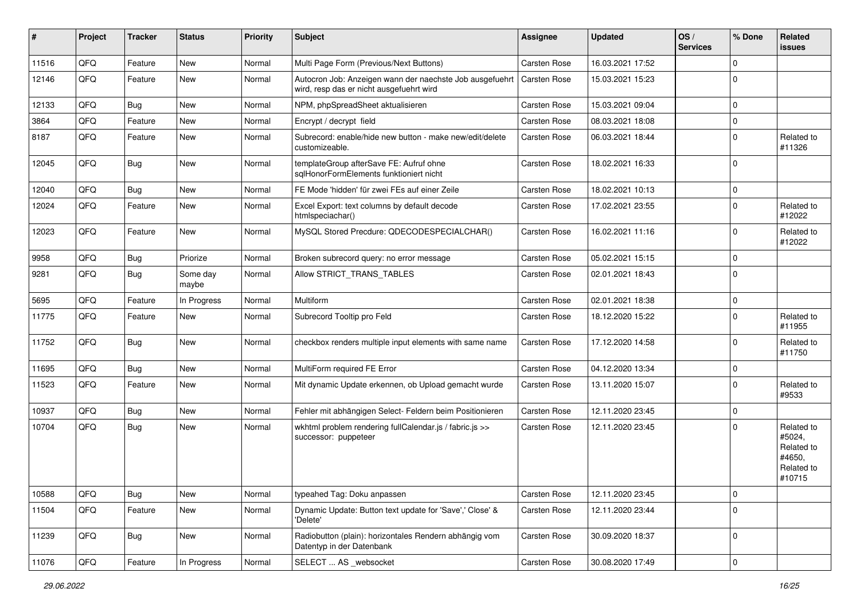| ∦     | Project | <b>Tracker</b> | <b>Status</b>     | <b>Priority</b> | <b>Subject</b>                                                                                       | Assignee            | <b>Updated</b>   | OS/<br><b>Services</b> | % Done      | Related<br>issues                                                    |
|-------|---------|----------------|-------------------|-----------------|------------------------------------------------------------------------------------------------------|---------------------|------------------|------------------------|-------------|----------------------------------------------------------------------|
| 11516 | QFQ     | Feature        | <b>New</b>        | Normal          | Multi Page Form (Previous/Next Buttons)                                                              | Carsten Rose        | 16.03.2021 17:52 |                        | $\Omega$    |                                                                      |
| 12146 | QFQ     | Feature        | New               | Normal          | Autocron Job: Anzeigen wann der naechste Job ausgefuehrt<br>wird, resp das er nicht ausgefuehrt wird | <b>Carsten Rose</b> | 15.03.2021 15:23 |                        | $\Omega$    |                                                                      |
| 12133 | QFQ     | Bug            | <b>New</b>        | Normal          | NPM, phpSpreadSheet aktualisieren                                                                    | Carsten Rose        | 15.03.2021 09:04 |                        | $\mathbf 0$ |                                                                      |
| 3864  | QFQ     | Feature        | <b>New</b>        | Normal          | Encrypt / decrypt field                                                                              | Carsten Rose        | 08.03.2021 18:08 |                        | $\Omega$    |                                                                      |
| 8187  | QFQ     | Feature        | New               | Normal          | Subrecord: enable/hide new button - make new/edit/delete<br>customizeable.                           | Carsten Rose        | 06.03.2021 18:44 |                        | $\Omega$    | Related to<br>#11326                                                 |
| 12045 | QFQ     | Bug            | <b>New</b>        | Normal          | templateGroup afterSave FE: Aufruf ohne<br>sqlHonorFormElements funktioniert nicht                   | Carsten Rose        | 18.02.2021 16:33 |                        | 0           |                                                                      |
| 12040 | QFQ     | Bug            | <b>New</b>        | Normal          | FE Mode 'hidden' für zwei FEs auf einer Zeile                                                        | Carsten Rose        | 18.02.2021 10:13 |                        | 0           |                                                                      |
| 12024 | QFQ     | Feature        | New               | Normal          | Excel Export: text columns by default decode<br>htmlspeciachar()                                     | Carsten Rose        | 17.02.2021 23:55 |                        | $\Omega$    | Related to<br>#12022                                                 |
| 12023 | QFQ     | Feature        | New               | Normal          | MySQL Stored Precdure: QDECODESPECIALCHAR()                                                          | Carsten Rose        | 16.02.2021 11:16 |                        | $\Omega$    | Related to<br>#12022                                                 |
| 9958  | QFQ     | <b>Bug</b>     | Priorize          | Normal          | Broken subrecord query: no error message                                                             | Carsten Rose        | 05.02.2021 15:15 |                        | $\mathbf 0$ |                                                                      |
| 9281  | QFQ     | Bug            | Some day<br>maybe | Normal          | Allow STRICT_TRANS_TABLES                                                                            | Carsten Rose        | 02.01.2021 18:43 |                        | $\mathbf 0$ |                                                                      |
| 5695  | QFQ     | Feature        | In Progress       | Normal          | Multiform                                                                                            | Carsten Rose        | 02.01.2021 18:38 |                        | 0           |                                                                      |
| 11775 | QFQ     | Feature        | New               | Normal          | Subrecord Tooltip pro Feld                                                                           | Carsten Rose        | 18.12.2020 15:22 |                        | $\Omega$    | Related to<br>#11955                                                 |
| 11752 | QFQ     | Bug            | New               | Normal          | checkbox renders multiple input elements with same name                                              | Carsten Rose        | 17.12.2020 14:58 |                        | $\Omega$    | Related to<br>#11750                                                 |
| 11695 | QFQ     | Bug            | <b>New</b>        | Normal          | MultiForm required FE Error                                                                          | Carsten Rose        | 04.12.2020 13:34 |                        | $\mathbf 0$ |                                                                      |
| 11523 | QFQ     | Feature        | New               | Normal          | Mit dynamic Update erkennen, ob Upload gemacht wurde                                                 | Carsten Rose        | 13.11.2020 15:07 |                        | $\Omega$    | Related to<br>#9533                                                  |
| 10937 | QFQ     | <b>Bug</b>     | New               | Normal          | Fehler mit abhängigen Select- Feldern beim Positionieren                                             | Carsten Rose        | 12.11.2020 23:45 |                        | $\mathbf 0$ |                                                                      |
| 10704 | QFQ     | Bug            | <b>New</b>        | Normal          | wkhtml problem rendering fullCalendar.js / fabric.js >><br>successor: puppeteer                      | Carsten Rose        | 12.11.2020 23:45 |                        | $\Omega$    | Related to<br>#5024,<br>Related to<br>#4650,<br>Related to<br>#10715 |
| 10588 | QFG     | <b>Bug</b>     | New               | Normal          | typeahed Tag: Doku anpassen                                                                          | Carsten Rose        | 12.11.2020 23:45 |                        | 0           |                                                                      |
| 11504 | QFQ     | Feature        | New               | Normal          | Dynamic Update: Button text update for 'Save',' Close' &<br>'Delete'                                 | Carsten Rose        | 12.11.2020 23:44 |                        | 0           |                                                                      |
| 11239 | QFQ     | <b>Bug</b>     | New               | Normal          | Radiobutton (plain): horizontales Rendern abhängig vom<br>Datentyp in der Datenbank                  | Carsten Rose        | 30.09.2020 18:37 |                        | $\mathbf 0$ |                                                                      |
| 11076 | QFG     | Feature        | In Progress       | Normal          | SELECT  AS websocket                                                                                 | Carsten Rose        | 30.08.2020 17:49 |                        | $\pmb{0}$   |                                                                      |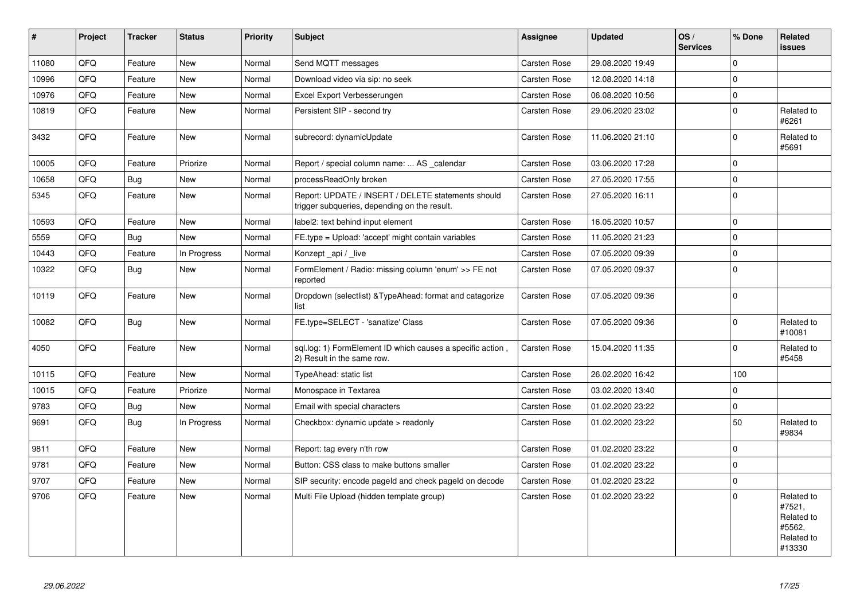| #     | Project | <b>Tracker</b> | <b>Status</b> | <b>Priority</b> | <b>Subject</b>                                                                                     | Assignee            | <b>Updated</b>   | OS/<br><b>Services</b> | % Done              | Related<br><b>issues</b>                                             |
|-------|---------|----------------|---------------|-----------------|----------------------------------------------------------------------------------------------------|---------------------|------------------|------------------------|---------------------|----------------------------------------------------------------------|
| 11080 | QFQ     | Feature        | <b>New</b>    | Normal          | Send MQTT messages                                                                                 | Carsten Rose        | 29.08.2020 19:49 |                        | $\mathbf 0$         |                                                                      |
| 10996 | QFQ     | Feature        | New           | Normal          | Download video via sip: no seek                                                                    | Carsten Rose        | 12.08.2020 14:18 |                        | $\Omega$            |                                                                      |
| 10976 | QFQ     | Feature        | New           | Normal          | Excel Export Verbesserungen                                                                        | Carsten Rose        | 06.08.2020 10:56 |                        | $\mathsf{O}\xspace$ |                                                                      |
| 10819 | QFQ     | Feature        | New           | Normal          | Persistent SIP - second try                                                                        | Carsten Rose        | 29.06.2020 23:02 |                        | $\mathbf 0$         | Related to<br>#6261                                                  |
| 3432  | QFQ     | Feature        | New           | Normal          | subrecord: dynamicUpdate                                                                           | Carsten Rose        | 11.06.2020 21:10 |                        | $\mathbf 0$         | Related to<br>#5691                                                  |
| 10005 | QFQ     | Feature        | Priorize      | Normal          | Report / special column name:  AS calendar                                                         | Carsten Rose        | 03.06.2020 17:28 |                        | $\mathbf 0$         |                                                                      |
| 10658 | QFQ     | Bug            | <b>New</b>    | Normal          | processReadOnly broken                                                                             | Carsten Rose        | 27.05.2020 17:55 |                        | $\mathbf 0$         |                                                                      |
| 5345  | QFQ     | Feature        | New           | Normal          | Report: UPDATE / INSERT / DELETE statements should<br>trigger subqueries, depending on the result. | Carsten Rose        | 27.05.2020 16:11 |                        | $\mathbf 0$         |                                                                      |
| 10593 | QFQ     | Feature        | New           | Normal          | label2: text behind input element                                                                  | Carsten Rose        | 16.05.2020 10:57 |                        | $\pmb{0}$           |                                                                      |
| 5559  | QFQ     | <b>Bug</b>     | <b>New</b>    | Normal          | FE.type = Upload: 'accept' might contain variables                                                 | Carsten Rose        | 11.05.2020 21:23 |                        | $\mathbf 0$         |                                                                      |
| 10443 | QFQ     | Feature        | In Progress   | Normal          | Konzept _api / _live                                                                               | Carsten Rose        | 07.05.2020 09:39 |                        | $\pmb{0}$           |                                                                      |
| 10322 | QFQ     | <b>Bug</b>     | New           | Normal          | FormElement / Radio: missing column 'enum' >> FE not<br>reported                                   | Carsten Rose        | 07.05.2020 09:37 |                        | $\mathbf 0$         |                                                                      |
| 10119 | QFQ     | Feature        | <b>New</b>    | Normal          | Dropdown (selectlist) & Type Ahead: format and catagorize<br>list                                  | Carsten Rose        | 07.05.2020 09:36 |                        | $\mathbf 0$         |                                                                      |
| 10082 | QFQ     | <b>Bug</b>     | New           | Normal          | FE.type=SELECT - 'sanatize' Class                                                                  | Carsten Rose        | 07.05.2020 09:36 |                        | $\mathbf 0$         | Related to<br>#10081                                                 |
| 4050  | QFQ     | Feature        | New           | Normal          | sql.log: 1) FormElement ID which causes a specific action,<br>2) Result in the same row.           | Carsten Rose        | 15.04.2020 11:35 |                        | $\mathbf 0$         | Related to<br>#5458                                                  |
| 10115 | QFQ     | Feature        | <b>New</b>    | Normal          | TypeAhead: static list                                                                             | Carsten Rose        | 26.02.2020 16:42 |                        | 100                 |                                                                      |
| 10015 | QFQ     | Feature        | Priorize      | Normal          | Monospace in Textarea                                                                              | Carsten Rose        | 03.02.2020 13:40 |                        | $\mathbf 0$         |                                                                      |
| 9783  | QFQ     | Bug            | New           | Normal          | Email with special characters                                                                      | <b>Carsten Rose</b> | 01.02.2020 23:22 |                        | $\mathsf 0$         |                                                                      |
| 9691  | QFQ     | <b>Bug</b>     | In Progress   | Normal          | Checkbox: dynamic update > readonly                                                                | Carsten Rose        | 01.02.2020 23:22 |                        | 50                  | Related to<br>#9834                                                  |
| 9811  | QFQ     | Feature        | <b>New</b>    | Normal          | Report: tag every n'th row                                                                         | Carsten Rose        | 01.02.2020 23:22 |                        | $\mathbf 0$         |                                                                      |
| 9781  | QFQ     | Feature        | <b>New</b>    | Normal          | Button: CSS class to make buttons smaller                                                          | Carsten Rose        | 01.02.2020 23:22 |                        | $\pmb{0}$           |                                                                      |
| 9707  | QFQ     | Feature        | New           | Normal          | SIP security: encode pageld and check pageld on decode                                             | Carsten Rose        | 01.02.2020 23:22 |                        | $\mathsf{O}\xspace$ |                                                                      |
| 9706  | QFQ     | Feature        | <b>New</b>    | Normal          | Multi File Upload (hidden template group)                                                          | Carsten Rose        | 01.02.2020 23:22 |                        | $\Omega$            | Related to<br>#7521,<br>Related to<br>#5562,<br>Related to<br>#13330 |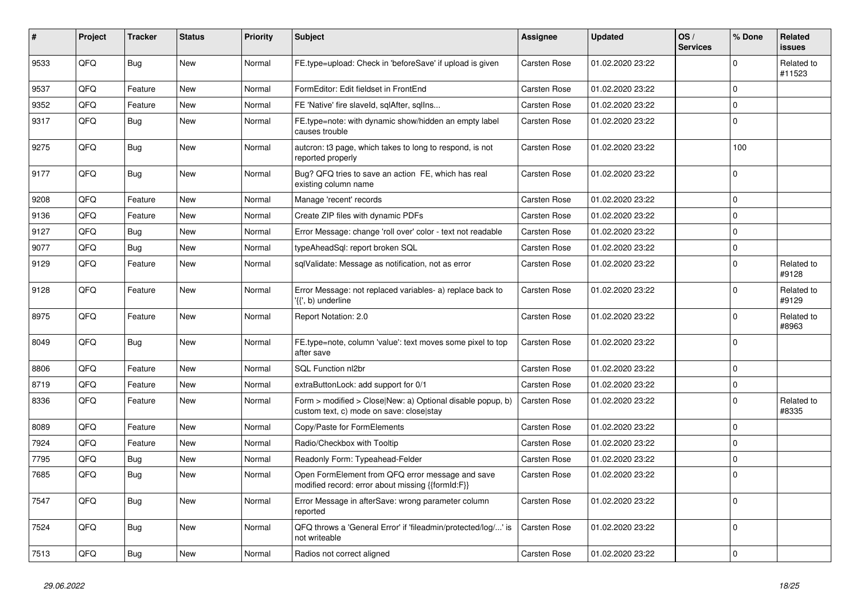| ∦    | Project | Tracker    | <b>Status</b> | <b>Priority</b> | <b>Subject</b>                                                                                         | Assignee            | <b>Updated</b>   | OS/<br><b>Services</b> | % Done      | Related<br>issues    |
|------|---------|------------|---------------|-----------------|--------------------------------------------------------------------------------------------------------|---------------------|------------------|------------------------|-------------|----------------------|
| 9533 | QFQ     | Bug        | <b>New</b>    | Normal          | FE.type=upload: Check in 'beforeSave' if upload is given                                               | Carsten Rose        | 01.02.2020 23:22 |                        | $\Omega$    | Related to<br>#11523 |
| 9537 | QFQ     | Feature    | <b>New</b>    | Normal          | FormEditor: Edit fieldset in FrontEnd                                                                  | Carsten Rose        | 01.02.2020 23:22 |                        | $\Omega$    |                      |
| 9352 | QFQ     | Feature    | <b>New</b>    | Normal          | FE 'Native' fire slaveld, sqlAfter, sqllns                                                             | Carsten Rose        | 01.02.2020 23:22 |                        | $\Omega$    |                      |
| 9317 | QFQ     | Bug        | <b>New</b>    | Normal          | FE.type=note: with dynamic show/hidden an empty label<br>causes trouble                                | Carsten Rose        | 01.02.2020 23:22 |                        | $\Omega$    |                      |
| 9275 | QFQ     | <b>Bug</b> | <b>New</b>    | Normal          | autcron: t3 page, which takes to long to respond, is not<br>reported properly                          | Carsten Rose        | 01.02.2020 23:22 |                        | 100         |                      |
| 9177 | QFQ     | Bug        | New           | Normal          | Bug? QFQ tries to save an action FE, which has real<br>existing column name                            | Carsten Rose        | 01.02.2020 23:22 |                        | $\Omega$    |                      |
| 9208 | QFQ     | Feature    | <b>New</b>    | Normal          | Manage 'recent' records                                                                                | Carsten Rose        | 01.02.2020 23:22 |                        | $\Omega$    |                      |
| 9136 | QFQ     | Feature    | <b>New</b>    | Normal          | Create ZIP files with dynamic PDFs                                                                     | Carsten Rose        | 01.02.2020 23:22 |                        | $\Omega$    |                      |
| 9127 | QFQ     | Bug        | <b>New</b>    | Normal          | Error Message: change 'roll over' color - text not readable                                            | Carsten Rose        | 01.02.2020 23:22 |                        | $\Omega$    |                      |
| 9077 | QFQ     | Bug        | <b>New</b>    | Normal          | typeAheadSql: report broken SQL                                                                        | Carsten Rose        | 01.02.2020 23:22 |                        | $\mathbf 0$ |                      |
| 9129 | QFQ     | Feature    | <b>New</b>    | Normal          | sqlValidate: Message as notification, not as error                                                     | Carsten Rose        | 01.02.2020 23:22 |                        | $\Omega$    | Related to<br>#9128  |
| 9128 | QFQ     | Feature    | New           | Normal          | Error Message: not replaced variables- a) replace back to<br>'{{', b) underline                        | Carsten Rose        | 01.02.2020 23:22 |                        | $\Omega$    | Related to<br>#9129  |
| 8975 | QFQ     | Feature    | <b>New</b>    | Normal          | Report Notation: 2.0                                                                                   | Carsten Rose        | 01.02.2020 23:22 |                        | $\Omega$    | Related to<br>#8963  |
| 8049 | QFQ     | <b>Bug</b> | <b>New</b>    | Normal          | FE.type=note, column 'value': text moves some pixel to top<br>after save                               | Carsten Rose        | 01.02.2020 23:22 |                        | $\Omega$    |                      |
| 8806 | QFQ     | Feature    | <b>New</b>    | Normal          | SQL Function nl2br                                                                                     | Carsten Rose        | 01.02.2020 23:22 |                        | $\Omega$    |                      |
| 8719 | QFQ     | Feature    | <b>New</b>    | Normal          | extraButtonLock: add support for 0/1                                                                   | <b>Carsten Rose</b> | 01.02.2020 23:22 |                        | $\Omega$    |                      |
| 8336 | QFQ     | Feature    | New           | Normal          | Form > modified > Close New: a) Optional disable popup, b)<br>custom text, c) mode on save: close stay | <b>Carsten Rose</b> | 01.02.2020 23:22 |                        | $\Omega$    | Related to<br>#8335  |
| 8089 | QFQ     | Feature    | <b>New</b>    | Normal          | Copy/Paste for FormElements                                                                            | Carsten Rose        | 01.02.2020 23:22 |                        | $\Omega$    |                      |
| 7924 | QFQ     | Feature    | <b>New</b>    | Normal          | Radio/Checkbox with Tooltip                                                                            | Carsten Rose        | 01.02.2020 23:22 |                        | $\Omega$    |                      |
| 7795 | QFQ     | Bug        | <b>New</b>    | Normal          | Readonly Form: Typeahead-Felder                                                                        | Carsten Rose        | 01.02.2020 23:22 |                        | $\Omega$    |                      |
| 7685 | QFQ     | Bug        | <b>New</b>    | Normal          | Open FormElement from QFQ error message and save<br>modified record: error about missing {{formId:F}}  | Carsten Rose        | 01.02.2020 23:22 |                        | $\Omega$    |                      |
| 7547 | QFQ     | Bug        | <b>New</b>    | Normal          | Error Message in afterSave: wrong parameter column<br>reported                                         | Carsten Rose        | 01.02.2020 23:22 |                        | $\Omega$    |                      |
| 7524 | QFQ     | Bug        | New           | Normal          | QFQ throws a 'General Error' if 'fileadmin/protected/log/' is<br>not writeable                         | <b>Carsten Rose</b> | 01.02.2020 23:22 |                        | $\mathbf 0$ |                      |
| 7513 | QFQ     | <b>Bug</b> | New           | Normal          | Radios not correct aligned                                                                             | Carsten Rose        | 01.02.2020 23:22 |                        | $\Omega$    |                      |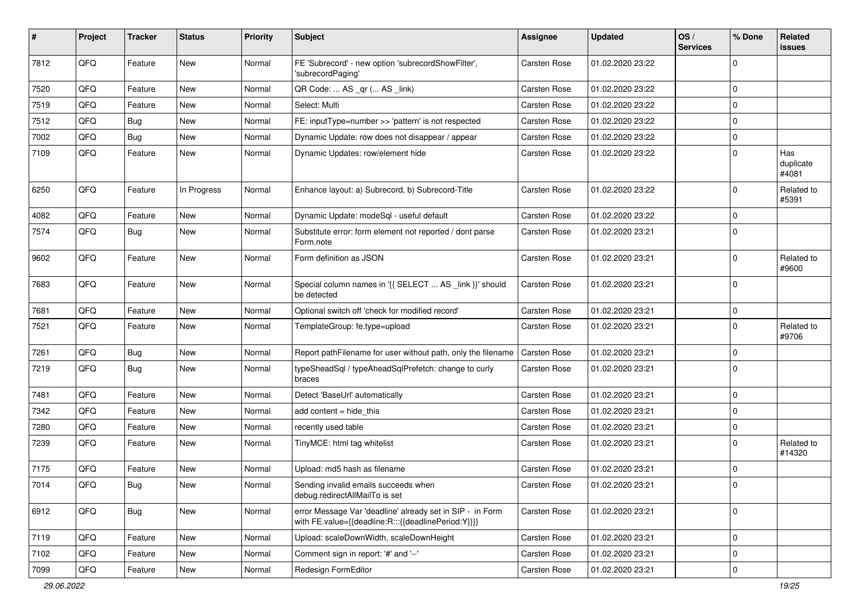| ∦    | Project | <b>Tracker</b> | <b>Status</b> | <b>Priority</b> | Subject                                                                                                          | Assignee            | <b>Updated</b>   | OS/<br><b>Services</b> | % Done      | Related<br>issues         |
|------|---------|----------------|---------------|-----------------|------------------------------------------------------------------------------------------------------------------|---------------------|------------------|------------------------|-------------|---------------------------|
| 7812 | QFQ     | Feature        | New           | Normal          | FE 'Subrecord' - new option 'subrecordShowFilter',<br>'subrecordPaging'                                          | Carsten Rose        | 01.02.2020 23:22 |                        | $\Omega$    |                           |
| 7520 | QFQ     | Feature        | New           | Normal          | QR Code:  AS _qr ( AS _link)                                                                                     | Carsten Rose        | 01.02.2020 23:22 |                        | 0           |                           |
| 7519 | QFQ     | Feature        | <b>New</b>    | Normal          | Select: Multi                                                                                                    | Carsten Rose        | 01.02.2020 23:22 |                        | 0           |                           |
| 7512 | QFQ     | Bug            | New           | Normal          | FE: inputType=number >> 'pattern' is not respected                                                               | Carsten Rose        | 01.02.2020 23:22 |                        | $\Omega$    |                           |
| 7002 | QFQ     | <b>Bug</b>     | New           | Normal          | Dynamic Update: row does not disappear / appear                                                                  | Carsten Rose        | 01.02.2020 23:22 |                        | $\mathbf 0$ |                           |
| 7109 | QFQ     | Feature        | New           | Normal          | Dynamic Updates: row/element hide                                                                                | Carsten Rose        | 01.02.2020 23:22 |                        | $\Omega$    | Has<br>duplicate<br>#4081 |
| 6250 | QFQ     | Feature        | In Progress   | Normal          | Enhance layout: a) Subrecord, b) Subrecord-Title                                                                 | Carsten Rose        | 01.02.2020 23:22 |                        | $\Omega$    | Related to<br>#5391       |
| 4082 | QFQ     | Feature        | <b>New</b>    | Normal          | Dynamic Update: modeSql - useful default                                                                         | Carsten Rose        | 01.02.2020 23:22 |                        | $\Omega$    |                           |
| 7574 | QFQ     | Bug            | New           | Normal          | Substitute error: form element not reported / dont parse<br>Form.note                                            | Carsten Rose        | 01.02.2020 23:21 |                        | $\Omega$    |                           |
| 9602 | QFQ     | Feature        | <b>New</b>    | Normal          | Form definition as JSON                                                                                          | Carsten Rose        | 01.02.2020 23:21 |                        | $\Omega$    | Related to<br>#9600       |
| 7683 | QFQ     | Feature        | New           | Normal          | Special column names in '{{ SELECT  AS _link }}' should<br>be detected                                           | Carsten Rose        | 01.02.2020 23:21 |                        | $\mathbf 0$ |                           |
| 7681 | QFQ     | Feature        | <b>New</b>    | Normal          | Optional switch off 'check for modified record'                                                                  | Carsten Rose        | 01.02.2020 23:21 |                        | 0           |                           |
| 7521 | QFQ     | Feature        | New           | Normal          | TemplateGroup: fe.type=upload                                                                                    | Carsten Rose        | 01.02.2020 23:21 |                        | $\Omega$    | Related to<br>#9706       |
| 7261 | QFQ     | <b>Bug</b>     | <b>New</b>    | Normal          | Report pathFilename for user without path, only the filename                                                     | <b>Carsten Rose</b> | 01.02.2020 23:21 |                        | $\Omega$    |                           |
| 7219 | QFQ     | Bug            | New           | Normal          | typeSheadSql / typeAheadSqlPrefetch: change to curly<br>braces                                                   | Carsten Rose        | 01.02.2020 23:21 |                        | $\Omega$    |                           |
| 7481 | QFQ     | Feature        | New           | Normal          | Detect 'BaseUrl' automatically                                                                                   | Carsten Rose        | 01.02.2020 23:21 |                        | 0           |                           |
| 7342 | QFQ     | Feature        | <b>New</b>    | Normal          | add content $=$ hide this                                                                                        | Carsten Rose        | 01.02.2020 23:21 |                        | 0           |                           |
| 7280 | QFQ     | Feature        | New           | Normal          | recently used table                                                                                              | Carsten Rose        | 01.02.2020 23:21 |                        | 0           |                           |
| 7239 | QFQ     | Feature        | New           | Normal          | TinyMCE: html tag whitelist                                                                                      | Carsten Rose        | 01.02.2020 23:21 |                        | $\Omega$    | Related to<br>#14320      |
| 7175 | QFQ     | Feature        | New           | Normal          | Upload: md5 hash as filename                                                                                     | Carsten Rose        | 01.02.2020 23:21 |                        | 0           |                           |
| 7014 | QFQ     | <b>Bug</b>     | New           | Normal          | Sending invalid emails succeeds when<br>debug.redirectAllMailTo is set                                           | Carsten Rose        | 01.02.2020 23:21 |                        | $\Omega$    |                           |
| 6912 | QFQ     | <b>Bug</b>     | New           | Normal          | error Message Var 'deadline' already set in SIP - in Form<br>with FE.value={{deadline:R:::{{deadlinePeriod:Y}}}} | Carsten Rose        | 01.02.2020 23:21 |                        | $\mathbf 0$ |                           |
| 7119 | QFQ     | Feature        | New           | Normal          | Upload: scaleDownWidth, scaleDownHeight                                                                          | Carsten Rose        | 01.02.2020 23:21 |                        | 0           |                           |
| 7102 | QFQ     | Feature        | <b>New</b>    | Normal          | Comment sign in report: '#' and '--'                                                                             | Carsten Rose        | 01.02.2020 23:21 |                        | 0           |                           |
| 7099 | QFG     | Feature        | New           | Normal          | Redesign FormEditor                                                                                              | Carsten Rose        | 01.02.2020 23:21 |                        | 0           |                           |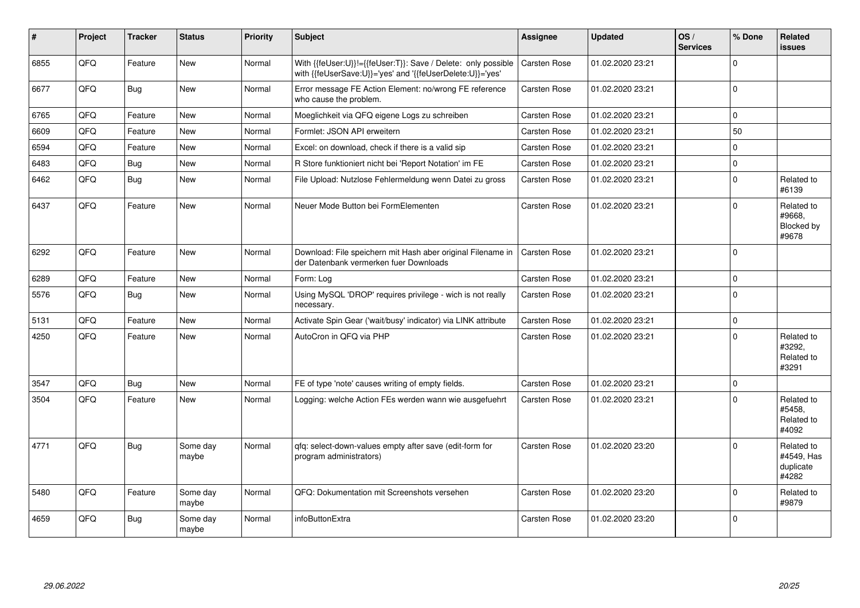| $\vert$ # | Project | <b>Tracker</b> | <b>Status</b>     | <b>Priority</b> | <b>Subject</b>                                                                                                             | <b>Assignee</b>     | Updated          | OS/<br><b>Services</b> | % Done      | Related<br>issues                              |
|-----------|---------|----------------|-------------------|-----------------|----------------------------------------------------------------------------------------------------------------------------|---------------------|------------------|------------------------|-------------|------------------------------------------------|
| 6855      | QFQ     | Feature        | New               | Normal          | With {{feUser:U}}!={{feUser:T}}: Save / Delete: only possible<br>with {{feUserSave:U}}='yes' and '{{feUserDelete:U}}='yes' | Carsten Rose        | 01.02.2020 23:21 |                        | $\Omega$    |                                                |
| 6677      | QFQ     | <b>Bug</b>     | <b>New</b>        | Normal          | Error message FE Action Element: no/wrong FE reference<br>who cause the problem.                                           | Carsten Rose        | 01.02.2020 23:21 |                        | $\Omega$    |                                                |
| 6765      | QFQ     | Feature        | <b>New</b>        | Normal          | Moeglichkeit via QFQ eigene Logs zu schreiben                                                                              | <b>Carsten Rose</b> | 01.02.2020 23:21 |                        | $\Omega$    |                                                |
| 6609      | QFQ     | Feature        | New               | Normal          | Formlet: JSON API erweitern                                                                                                | <b>Carsten Rose</b> | 01.02.2020 23:21 |                        | 50          |                                                |
| 6594      | QFQ     | Feature        | <b>New</b>        | Normal          | Excel: on download, check if there is a valid sip                                                                          | Carsten Rose        | 01.02.2020 23:21 |                        | $\Omega$    |                                                |
| 6483      | QFQ     | Bug            | New               | Normal          | R Store funktioniert nicht bei 'Report Notation' im FE                                                                     | Carsten Rose        | 01.02.2020 23:21 |                        | $\Omega$    |                                                |
| 6462      | QFQ     | <b>Bug</b>     | <b>New</b>        | Normal          | File Upload: Nutzlose Fehlermeldung wenn Datei zu gross                                                                    | <b>Carsten Rose</b> | 01.02.2020 23:21 |                        | $\mathbf 0$ | Related to<br>#6139                            |
| 6437      | QFQ     | Feature        | <b>New</b>        | Normal          | Neuer Mode Button bei FormElementen                                                                                        | <b>Carsten Rose</b> | 01.02.2020 23:21 |                        | $\Omega$    | Related to<br>#9668.<br>Blocked by<br>#9678    |
| 6292      | QFQ     | Feature        | <b>New</b>        | Normal          | Download: File speichern mit Hash aber original Filename in<br>der Datenbank vermerken fuer Downloads                      | Carsten Rose        | 01.02.2020 23:21 |                        | $\Omega$    |                                                |
| 6289      | QFQ     | Feature        | <b>New</b>        | Normal          | Form: Log                                                                                                                  | Carsten Rose        | 01.02.2020 23:21 |                        | $\mathbf 0$ |                                                |
| 5576      | QFQ     | <b>Bug</b>     | <b>New</b>        | Normal          | Using MySQL 'DROP' requires privilege - wich is not really<br>necessary.                                                   | <b>Carsten Rose</b> | 01.02.2020 23:21 |                        | $\Omega$    |                                                |
| 5131      | QFQ     | Feature        | <b>New</b>        | Normal          | Activate Spin Gear ('wait/busy' indicator) via LINK attribute                                                              | Carsten Rose        | 01.02.2020 23:21 |                        | $\Omega$    |                                                |
| 4250      | QFQ     | Feature        | <b>New</b>        | Normal          | AutoCron in QFQ via PHP                                                                                                    | <b>Carsten Rose</b> | 01.02.2020 23:21 |                        | $\Omega$    | Related to<br>#3292,<br>Related to<br>#3291    |
| 3547      | QFQ     | Bug            | <b>New</b>        | Normal          | FE of type 'note' causes writing of empty fields.                                                                          | <b>Carsten Rose</b> | 01.02.2020 23:21 |                        | $\Omega$    |                                                |
| 3504      | QFQ     | Feature        | <b>New</b>        | Normal          | Logging: welche Action FEs werden wann wie ausgefuehrt                                                                     | <b>Carsten Rose</b> | 01.02.2020 23:21 |                        | $\Omega$    | Related to<br>#5458,<br>Related to<br>#4092    |
| 4771      | QFQ     | Bug            | Some day<br>maybe | Normal          | qfq: select-down-values empty after save (edit-form for<br>program administrators)                                         | <b>Carsten Rose</b> | 01.02.2020 23:20 |                        | $\Omega$    | Related to<br>#4549, Has<br>duplicate<br>#4282 |
| 5480      | QFQ     | Feature        | Some day<br>maybe | Normal          | QFQ: Dokumentation mit Screenshots versehen                                                                                | <b>Carsten Rose</b> | 01.02.2020 23:20 |                        | $\Omega$    | Related to<br>#9879                            |
| 4659      | QFQ     | <b>Bug</b>     | Some day<br>maybe | Normal          | infoButtonExtra                                                                                                            | Carsten Rose        | 01.02.2020 23:20 |                        | $\Omega$    |                                                |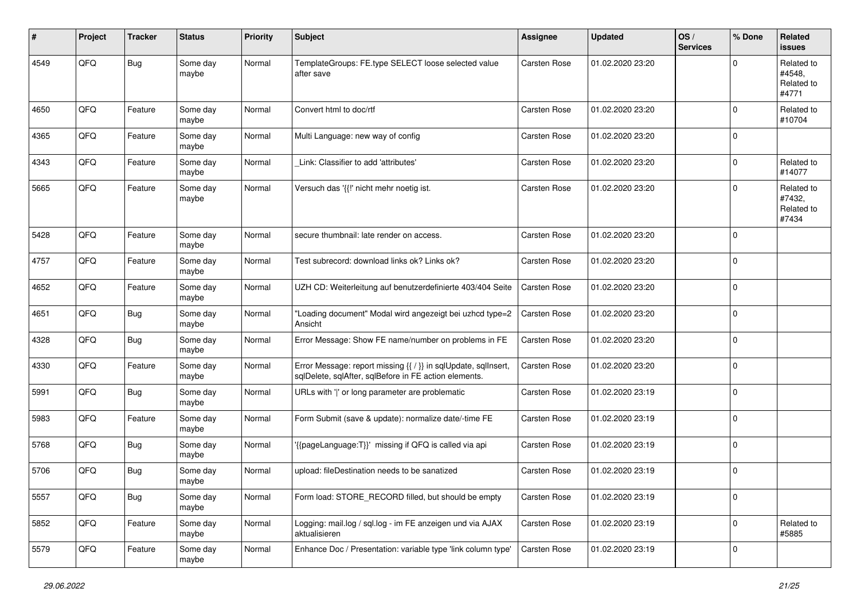| #    | Project | <b>Tracker</b> | <b>Status</b>     | <b>Priority</b> | <b>Subject</b>                                                                                                          | <b>Assignee</b>     | <b>Updated</b>   | OS/<br><b>Services</b> | % Done      | Related<br><b>issues</b>                    |
|------|---------|----------------|-------------------|-----------------|-------------------------------------------------------------------------------------------------------------------------|---------------------|------------------|------------------------|-------------|---------------------------------------------|
| 4549 | QFQ     | <b>Bug</b>     | Some day<br>maybe | Normal          | TemplateGroups: FE.type SELECT loose selected value<br>after save                                                       | Carsten Rose        | 01.02.2020 23:20 |                        | $\Omega$    | Related to<br>#4548,<br>Related to<br>#4771 |
| 4650 | QFQ     | Feature        | Some day<br>maybe | Normal          | Convert html to doc/rtf                                                                                                 | Carsten Rose        | 01.02.2020 23:20 |                        | $\Omega$    | Related to<br>#10704                        |
| 4365 | QFQ     | Feature        | Some day<br>maybe | Normal          | Multi Language: new way of config                                                                                       | Carsten Rose        | 01.02.2020 23:20 |                        | $\mathbf 0$ |                                             |
| 4343 | QFQ     | Feature        | Some day<br>maybe | Normal          | Link: Classifier to add 'attributes'                                                                                    | Carsten Rose        | 01.02.2020 23:20 |                        | $\mathbf 0$ | Related to<br>#14077                        |
| 5665 | QFQ     | Feature        | Some day<br>maybe | Normal          | Versuch das '{{!' nicht mehr noetig ist.                                                                                | Carsten Rose        | 01.02.2020 23:20 |                        | $\Omega$    | Related to<br>#7432,<br>Related to<br>#7434 |
| 5428 | QFQ     | Feature        | Some day<br>maybe | Normal          | secure thumbnail: late render on access.                                                                                | <b>Carsten Rose</b> | 01.02.2020 23:20 |                        | $\mathbf 0$ |                                             |
| 4757 | QFQ     | Feature        | Some day<br>maybe | Normal          | Test subrecord: download links ok? Links ok?                                                                            | Carsten Rose        | 01.02.2020 23:20 |                        | $\mathbf 0$ |                                             |
| 4652 | QFQ     | Feature        | Some day<br>maybe | Normal          | UZH CD: Weiterleitung auf benutzerdefinierte 403/404 Seite                                                              | Carsten Rose        | 01.02.2020 23:20 |                        | $\Omega$    |                                             |
| 4651 | QFQ     | <b>Bug</b>     | Some day<br>maybe | Normal          | "Loading document" Modal wird angezeigt bei uzhcd type=2<br>Ansicht                                                     | Carsten Rose        | 01.02.2020 23:20 |                        | $\mathbf 0$ |                                             |
| 4328 | QFQ     | <b>Bug</b>     | Some day<br>maybe | Normal          | Error Message: Show FE name/number on problems in FE                                                                    | Carsten Rose        | 01.02.2020 23:20 |                        | $\Omega$    |                                             |
| 4330 | QFQ     | Feature        | Some day<br>maybe | Normal          | Error Message: report missing {{ / }} in sqlUpdate, sqlInsert,<br>sqlDelete, sqlAfter, sqlBefore in FE action elements. | Carsten Rose        | 01.02.2020 23:20 |                        | $\mathbf 0$ |                                             |
| 5991 | QFQ     | <b>Bug</b>     | Some day<br>maybe | Normal          | URLs with ' ' or long parameter are problematic                                                                         | Carsten Rose        | 01.02.2020 23:19 |                        | 0           |                                             |
| 5983 | QFQ     | Feature        | Some day<br>maybe | Normal          | Form Submit (save & update): normalize date/-time FE                                                                    | Carsten Rose        | 01.02.2020 23:19 |                        | 0           |                                             |
| 5768 | QFQ     | <b>Bug</b>     | Some day<br>maybe | Normal          | '{{pageLanguage:T}}' missing if QFQ is called via api                                                                   | Carsten Rose        | 01.02.2020 23:19 |                        | 0           |                                             |
| 5706 | QFQ     | <b>Bug</b>     | Some day<br>maybe | Normal          | upload: fileDestination needs to be sanatized                                                                           | Carsten Rose        | 01.02.2020 23:19 |                        | $\mathbf 0$ |                                             |
| 5557 | QFG     | <b>Bug</b>     | Some day<br>maybe | Normal          | Form load: STORE RECORD filled, but should be empty                                                                     | Carsten Rose        | 01.02.2020 23:19 |                        | 0           |                                             |
| 5852 | QFG     | Feature        | Some day<br>maybe | Normal          | Logging: mail.log / sql.log - im FE anzeigen und via AJAX<br>aktualisieren                                              | Carsten Rose        | 01.02.2020 23:19 |                        | $\mathbf 0$ | Related to<br>#5885                         |
| 5579 | QFQ     | Feature        | Some day<br>maybe | Normal          | Enhance Doc / Presentation: variable type 'link column type'                                                            | Carsten Rose        | 01.02.2020 23:19 |                        | 0           |                                             |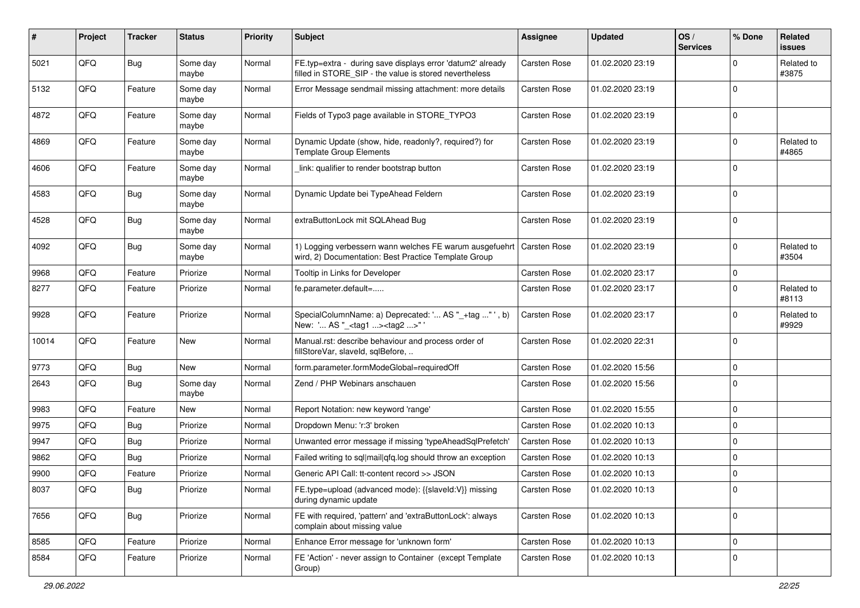| ∦     | Project | <b>Tracker</b> | <b>Status</b>     | <b>Priority</b> | <b>Subject</b>                                                                                                                 | Assignee            | <b>Updated</b>   | OS/<br><b>Services</b> | % Done       | Related<br><b>issues</b> |
|-------|---------|----------------|-------------------|-----------------|--------------------------------------------------------------------------------------------------------------------------------|---------------------|------------------|------------------------|--------------|--------------------------|
| 5021  | QFQ     | Bug            | Some day<br>maybe | Normal          | FE.typ=extra - during save displays error 'datum2' already<br>filled in STORE_SIP - the value is stored nevertheless           | <b>Carsten Rose</b> | 01.02.2020 23:19 |                        | $\Omega$     | Related to<br>#3875      |
| 5132  | QFQ     | Feature        | Some day<br>maybe | Normal          | Error Message sendmail missing attachment: more details                                                                        | Carsten Rose        | 01.02.2020 23:19 |                        | $\Omega$     |                          |
| 4872  | QFQ     | Feature        | Some day<br>maybe | Normal          | Fields of Typo3 page available in STORE_TYPO3                                                                                  | Carsten Rose        | 01.02.2020 23:19 |                        | $\Omega$     |                          |
| 4869  | QFQ     | Feature        | Some day<br>maybe | Normal          | Dynamic Update (show, hide, readonly?, required?) for<br><b>Template Group Elements</b>                                        | Carsten Rose        | 01.02.2020 23:19 |                        | $\mathbf 0$  | Related to<br>#4865      |
| 4606  | QFQ     | Feature        | Some day<br>maybe | Normal          | link: qualifier to render bootstrap button                                                                                     | Carsten Rose        | 01.02.2020 23:19 |                        | $\Omega$     |                          |
| 4583  | QFQ     | Bug            | Some day<br>maybe | Normal          | Dynamic Update bei TypeAhead Feldern                                                                                           | Carsten Rose        | 01.02.2020 23:19 |                        | $\Omega$     |                          |
| 4528  | QFQ     | Bug            | Some day<br>maybe | Normal          | extraButtonLock mit SQLAhead Bug                                                                                               | Carsten Rose        | 01.02.2020 23:19 |                        | $\mathbf{0}$ |                          |
| 4092  | QFQ     | Bug            | Some day<br>maybe | Normal          | 1) Logging verbessern wann welches FE warum ausgefuehrt   Carsten Rose<br>wird, 2) Documentation: Best Practice Template Group |                     | 01.02.2020 23:19 |                        | $\mathbf 0$  | Related to<br>#3504      |
| 9968  | QFQ     | Feature        | Priorize          | Normal          | Tooltip in Links for Developer                                                                                                 | Carsten Rose        | 01.02.2020 23:17 |                        | $\mathbf 0$  |                          |
| 8277  | QFQ     | Feature        | Priorize          | Normal          | fe.parameter.default=                                                                                                          | Carsten Rose        | 01.02.2020 23:17 |                        | $\Omega$     | Related to<br>#8113      |
| 9928  | QFQ     | Feature        | Priorize          | Normal          | SpecialColumnName: a) Deprecated: ' AS "_+tag " ', b)<br>New: ' AS "_ <tag1><tag2>"</tag2></tag1>                              | Carsten Rose        | 01.02.2020 23:17 |                        | $\Omega$     | Related to<br>#9929      |
| 10014 | QFQ     | Feature        | <b>New</b>        | Normal          | Manual.rst: describe behaviour and process order of<br>fillStoreVar, slaveId, sqlBefore,                                       | Carsten Rose        | 01.02.2020 22:31 |                        | $\Omega$     |                          |
| 9773  | QFQ     | Bug            | <b>New</b>        | Normal          | form.parameter.formModeGlobal=requiredOff                                                                                      | Carsten Rose        | 01.02.2020 15:56 |                        | $\mathbf 0$  |                          |
| 2643  | QFQ     | <b>Bug</b>     | Some day<br>maybe | Normal          | Zend / PHP Webinars anschauen                                                                                                  | Carsten Rose        | 01.02.2020 15:56 |                        | $\mathbf{0}$ |                          |
| 9983  | QFQ     | Feature        | <b>New</b>        | Normal          | Report Notation: new keyword 'range'                                                                                           | Carsten Rose        | 01.02.2020 15:55 |                        | $\mathbf 0$  |                          |
| 9975  | QFQ     | Bug            | Priorize          | Normal          | Dropdown Menu: 'r:3' broken                                                                                                    | Carsten Rose        | 01.02.2020 10:13 |                        | $\mathbf 0$  |                          |
| 9947  | QFQ     | <b>Bug</b>     | Priorize          | Normal          | Unwanted error message if missing 'typeAheadSqlPrefetch'                                                                       | Carsten Rose        | 01.02.2020 10:13 |                        | $\mathbf 0$  |                          |
| 9862  | QFQ     | Bug            | Priorize          | Normal          | Failed writing to sql mail qfq.log should throw an exception                                                                   | Carsten Rose        | 01.02.2020 10:13 |                        | $\Omega$     |                          |
| 9900  | QFQ     | Feature        | Priorize          | Normal          | Generic API Call: tt-content record >> JSON                                                                                    | Carsten Rose        | 01.02.2020 10:13 |                        | $\Omega$     |                          |
| 8037  | QFQ     | <b>Bug</b>     | Priorize          | Normal          | FE.type=upload (advanced mode): {{slaveId:V}} missing<br>during dynamic update                                                 | Carsten Rose        | 01.02.2020 10:13 |                        | l 0          |                          |
| 7656  | QFQ     | <b>Bug</b>     | Priorize          | Normal          | FE with required, 'pattern' and 'extraButtonLock': always<br>complain about missing value                                      | Carsten Rose        | 01.02.2020 10:13 |                        | $\mathbf{0}$ |                          |
| 8585  | QFQ     | Feature        | Priorize          | Normal          | Enhance Error message for 'unknown form'                                                                                       | Carsten Rose        | 01.02.2020 10:13 |                        | 0            |                          |
| 8584  | QFQ     | Feature        | Priorize          | Normal          | FE 'Action' - never assign to Container (except Template<br>Group)                                                             | Carsten Rose        | 01.02.2020 10:13 |                        | $\mathbf 0$  |                          |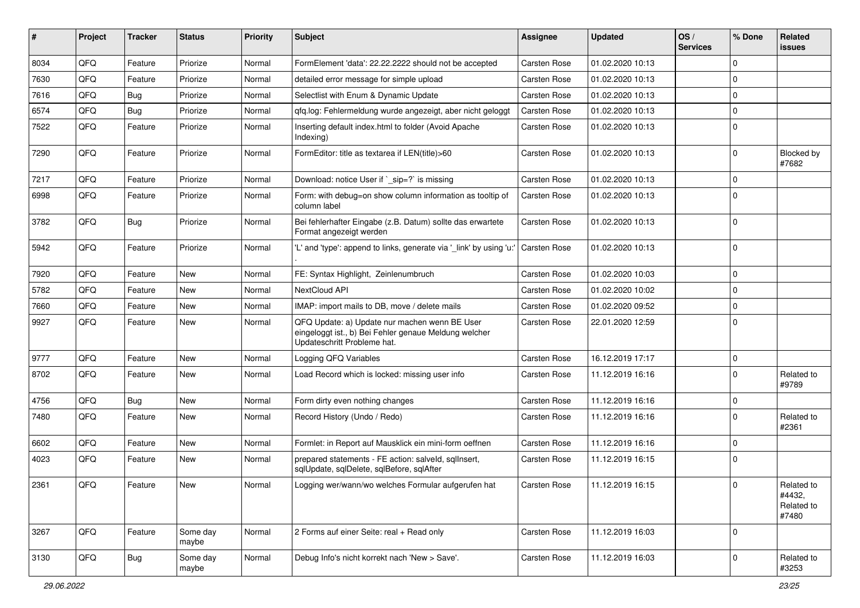| ∦    | Project | <b>Tracker</b> | <b>Status</b>     | <b>Priority</b> | Subject                                                                                                                               | Assignee            | <b>Updated</b>   | OS/<br><b>Services</b> | % Done       | Related<br>issues                           |
|------|---------|----------------|-------------------|-----------------|---------------------------------------------------------------------------------------------------------------------------------------|---------------------|------------------|------------------------|--------------|---------------------------------------------|
| 8034 | QFQ     | Feature        | Priorize          | Normal          | FormElement 'data': 22.22.2222 should not be accepted                                                                                 | Carsten Rose        | 01.02.2020 10:13 |                        | $\Omega$     |                                             |
| 7630 | QFQ     | Feature        | Priorize          | Normal          | detailed error message for simple upload                                                                                              | Carsten Rose        | 01.02.2020 10:13 |                        | $\Omega$     |                                             |
| 7616 | QFQ     | Bug            | Priorize          | Normal          | Selectlist with Enum & Dynamic Update                                                                                                 | Carsten Rose        | 01.02.2020 10:13 |                        | $\Omega$     |                                             |
| 6574 | QFQ     | Bug            | Priorize          | Normal          | qfq.log: Fehlermeldung wurde angezeigt, aber nicht geloggt                                                                            | Carsten Rose        | 01.02.2020 10:13 |                        | $\Omega$     |                                             |
| 7522 | QFQ     | Feature        | Priorize          | Normal          | Inserting default index.html to folder (Avoid Apache<br>Indexing)                                                                     | Carsten Rose        | 01.02.2020 10:13 |                        | $\Omega$     |                                             |
| 7290 | QFQ     | Feature        | Priorize          | Normal          | FormEditor: title as textarea if LEN(title)>60                                                                                        | Carsten Rose        | 01.02.2020 10:13 |                        | $\Omega$     | Blocked by<br>#7682                         |
| 7217 | QFQ     | Feature        | Priorize          | Normal          | Download: notice User if `_sip=?` is missing                                                                                          | Carsten Rose        | 01.02.2020 10:13 |                        | $\Omega$     |                                             |
| 6998 | QFQ     | Feature        | Priorize          | Normal          | Form: with debug=on show column information as tooltip of<br>column label                                                             | Carsten Rose        | 01.02.2020 10:13 |                        | $\Omega$     |                                             |
| 3782 | QFQ     | Bug            | Priorize          | Normal          | Bei fehlerhafter Eingabe (z.B. Datum) sollte das erwartete<br>Format angezeigt werden                                                 | Carsten Rose        | 01.02.2020 10:13 |                        | $\mathbf 0$  |                                             |
| 5942 | QFQ     | Feature        | Priorize          | Normal          | 'L' and 'type': append to links, generate via '_link' by using 'u:'                                                                   | <b>Carsten Rose</b> | 01.02.2020 10:13 |                        | $\mathbf 0$  |                                             |
| 7920 | QFQ     | Feature        | <b>New</b>        | Normal          | FE: Syntax Highlight, Zeinlenumbruch                                                                                                  | Carsten Rose        | 01.02.2020 10:03 |                        | $\Omega$     |                                             |
| 5782 | QFQ     | Feature        | <b>New</b>        | Normal          | NextCloud API                                                                                                                         | Carsten Rose        | 01.02.2020 10:02 |                        | $\Omega$     |                                             |
| 7660 | QFQ     | Feature        | New               | Normal          | IMAP: import mails to DB, move / delete mails                                                                                         | Carsten Rose        | 01.02.2020 09:52 |                        | $\mathbf 0$  |                                             |
| 9927 | QFQ     | Feature        | New               | Normal          | QFQ Update: a) Update nur machen wenn BE User<br>eingeloggt ist., b) Bei Fehler genaue Meldung welcher<br>Updateschritt Probleme hat. | Carsten Rose        | 22.01.2020 12:59 |                        | $\Omega$     |                                             |
| 9777 | QFQ     | Feature        | <b>New</b>        | Normal          | Logging QFQ Variables                                                                                                                 | Carsten Rose        | 16.12.2019 17:17 |                        | $\mathbf 0$  |                                             |
| 8702 | QFQ     | Feature        | New               | Normal          | Load Record which is locked: missing user info                                                                                        | Carsten Rose        | 11.12.2019 16:16 |                        | $\Omega$     | Related to<br>#9789                         |
| 4756 | QFQ     | <b>Bug</b>     | <b>New</b>        | Normal          | Form dirty even nothing changes                                                                                                       | Carsten Rose        | 11.12.2019 16:16 |                        | $\mathbf 0$  |                                             |
| 7480 | QFQ     | Feature        | <b>New</b>        | Normal          | Record History (Undo / Redo)                                                                                                          | <b>Carsten Rose</b> | 11.12.2019 16:16 |                        | $\mathbf{0}$ | Related to<br>#2361                         |
| 6602 | QFQ     | Feature        | <b>New</b>        | Normal          | Formlet: in Report auf Mausklick ein mini-form oeffnen                                                                                | Carsten Rose        | 11.12.2019 16:16 |                        | $\Omega$     |                                             |
| 4023 | QFQ     | Feature        | New               | Normal          | prepared statements - FE action: salveld, sqlInsert,<br>sqlUpdate, sqlDelete, sqlBefore, sqlAfter                                     | Carsten Rose        | 11.12.2019 16:15 |                        | $\Omega$     |                                             |
| 2361 | QFQ     | Feature        | New               | Normal          | Logging wer/wann/wo welches Formular aufgerufen hat                                                                                   | Carsten Rose        | 11.12.2019 16:15 |                        | $\mathbf 0$  | Related to<br>#4432,<br>Related to<br>#7480 |
| 3267 | QFQ     | Feature        | Some day<br>maybe | Normal          | 2 Forms auf einer Seite: real + Read only                                                                                             | Carsten Rose        | 11.12.2019 16:03 |                        | $\mathbf{0}$ |                                             |
| 3130 | QFQ     | Bug            | Some day<br>maybe | Normal          | Debug Info's nicht korrekt nach 'New > Save'.                                                                                         | Carsten Rose        | 11.12.2019 16:03 |                        | $\mathbf 0$  | Related to<br>#3253                         |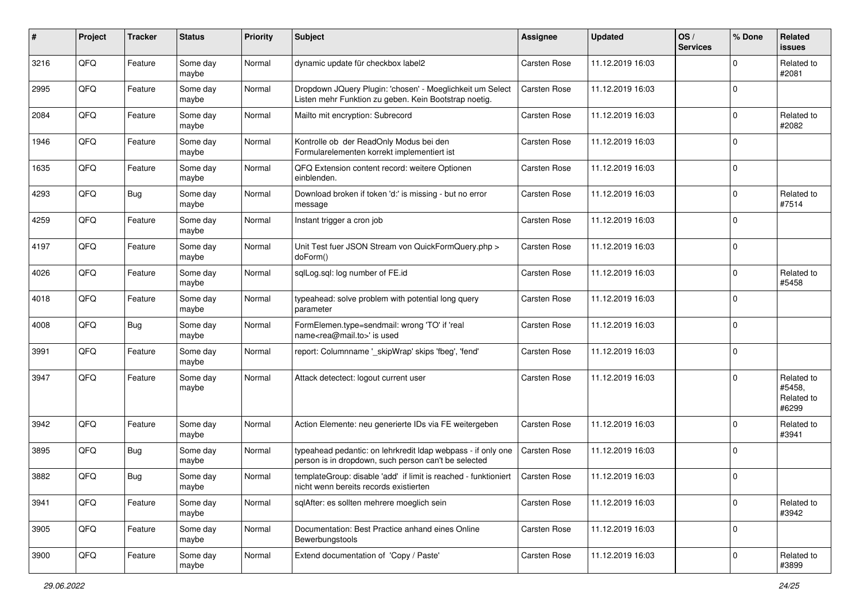| #    | Project | <b>Tracker</b> | <b>Status</b>     | <b>Priority</b> | <b>Subject</b>                                                                                                       | <b>Assignee</b> | <b>Updated</b>   | OS/<br><b>Services</b> | % Done      | Related<br>issues                           |
|------|---------|----------------|-------------------|-----------------|----------------------------------------------------------------------------------------------------------------------|-----------------|------------------|------------------------|-------------|---------------------------------------------|
| 3216 | QFQ     | Feature        | Some day<br>maybe | Normal          | dynamic update für checkbox label2                                                                                   | Carsten Rose    | 11.12.2019 16:03 |                        | $\Omega$    | Related to<br>#2081                         |
| 2995 | QFQ     | Feature        | Some day<br>maybe | Normal          | Dropdown JQuery Plugin: 'chosen' - Moeglichkeit um Select<br>Listen mehr Funktion zu geben. Kein Bootstrap noetig.   | Carsten Rose    | 11.12.2019 16:03 |                        | $\mathbf 0$ |                                             |
| 2084 | QFQ     | Feature        | Some day<br>maybe | Normal          | Mailto mit encryption: Subrecord                                                                                     | Carsten Rose    | 11.12.2019 16:03 |                        | $\Omega$    | Related to<br>#2082                         |
| 1946 | QFQ     | Feature        | Some day<br>maybe | Normal          | Kontrolle ob der ReadOnly Modus bei den<br>Formularelementen korrekt implementiert ist                               | Carsten Rose    | 11.12.2019 16:03 |                        | $\mathbf 0$ |                                             |
| 1635 | QFQ     | Feature        | Some day<br>maybe | Normal          | QFQ Extension content record: weitere Optionen<br>einblenden.                                                        | Carsten Rose    | 11.12.2019 16:03 |                        | $\mathbf 0$ |                                             |
| 4293 | QFQ     | Bug            | Some day<br>maybe | Normal          | Download broken if token 'd:' is missing - but no error<br>message                                                   | Carsten Rose    | 11.12.2019 16:03 |                        | $\mathbf 0$ | Related to<br>#7514                         |
| 4259 | QFQ     | Feature        | Some day<br>maybe | Normal          | Instant trigger a cron job                                                                                           | Carsten Rose    | 11.12.2019 16:03 |                        | $\Omega$    |                                             |
| 4197 | QFQ     | Feature        | Some day<br>maybe | Normal          | Unit Test fuer JSON Stream von QuickFormQuery.php ><br>doForm()                                                      | Carsten Rose    | 11.12.2019 16:03 |                        | $\mathbf 0$ |                                             |
| 4026 | QFQ     | Feature        | Some day<br>maybe | Normal          | sqlLog.sql: log number of FE.id                                                                                      | Carsten Rose    | 11.12.2019 16:03 |                        | $\mathbf 0$ | Related to<br>#5458                         |
| 4018 | QFQ     | Feature        | Some day<br>maybe | Normal          | typeahead: solve problem with potential long query<br>parameter                                                      | Carsten Rose    | 11.12.2019 16:03 |                        | $\Omega$    |                                             |
| 4008 | QFQ     | Bug            | Some day<br>maybe | Normal          | FormElemen.type=sendmail: wrong 'TO' if 'real<br>name <rea@mail.to>' is used</rea@mail.to>                           | Carsten Rose    | 11.12.2019 16:03 |                        | $\mathbf 0$ |                                             |
| 3991 | QFQ     | Feature        | Some day<br>maybe | Normal          | report: Columnname '_skipWrap' skips 'fbeg', 'fend'                                                                  | Carsten Rose    | 11.12.2019 16:03 |                        | $\mathbf 0$ |                                             |
| 3947 | QFQ     | Feature        | Some day<br>maybe | Normal          | Attack detectect: logout current user                                                                                | Carsten Rose    | 11.12.2019 16:03 |                        | $\mathbf 0$ | Related to<br>#5458,<br>Related to<br>#6299 |
| 3942 | QFQ     | Feature        | Some day<br>maybe | Normal          | Action Elemente: neu generierte IDs via FE weitergeben                                                               | Carsten Rose    | 11.12.2019 16:03 |                        | $\mathbf 0$ | Related to<br>#3941                         |
| 3895 | QFQ     | Bug            | Some day<br>maybe | Normal          | typeahead pedantic: on lehrkredit Idap webpass - if only one<br>person is in dropdown, such person can't be selected | Carsten Rose    | 11.12.2019 16:03 |                        | $\mathbf 0$ |                                             |
| 3882 | QFQ     | Bug            | Some day<br>maybe | Normal          | templateGroup: disable 'add' if limit is reached - funktioniert<br>nicht wenn bereits records existierten            | Carsten Rose    | 11.12.2019 16:03 |                        | $\Omega$    |                                             |
| 3941 | QFQ     | Feature        | Some day<br>maybe | Normal          | sqlAfter: es sollten mehrere moeglich sein                                                                           | Carsten Rose    | 11.12.2019 16:03 |                        | $\mathbf 0$ | Related to<br>#3942                         |
| 3905 | QFG     | Feature        | Some day<br>maybe | Normal          | Documentation: Best Practice anhand eines Online<br>Bewerbungstools                                                  | Carsten Rose    | 11.12.2019 16:03 |                        | 0           |                                             |
| 3900 | QFQ     | Feature        | Some day<br>maybe | Normal          | Extend documentation of 'Copy / Paste'                                                                               | Carsten Rose    | 11.12.2019 16:03 |                        | $\mathbf 0$ | Related to<br>#3899                         |